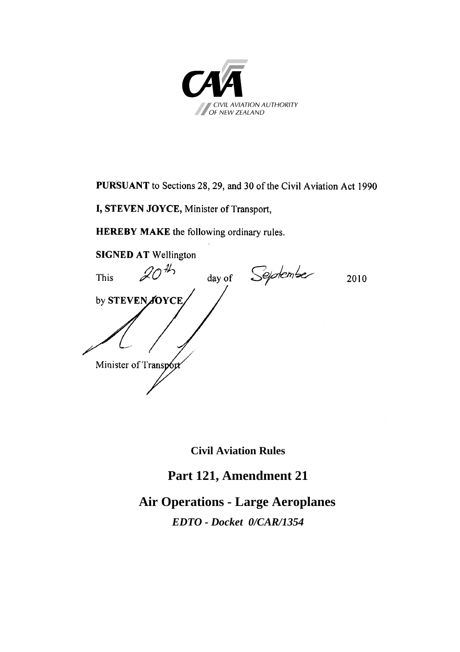

**PURSUANT** to Sections 28, 29, and 30 of the Civil Aviation Act 1990

**I, STEVEN JOYCE,** Minister of Transport,

**HEREBY MAKE** the following ordinary rules.

**SIGNED AT** Wellington<br>This  $\mathcal{Q}O^{\mathcal{H}_{2}}$ This  $2010$  day of September 2010 by **STEVEN JOYCE** Minister of Transp6 Minister of Transport

**Civil Aviation Rules** 

# **Part 121, Amendment 21**

**Air Operations - Large Aeroplanes**  *EDTO - Docket 0/CAR/1354*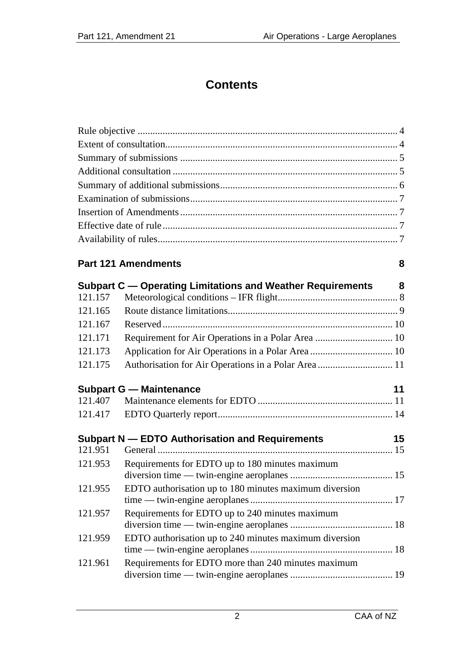# **Contents**

# **Part 121 Amendments [8](#page-7-0)**

|         | Subpart C — Operating Limitations and Weather Requirements | 8  |
|---------|------------------------------------------------------------|----|
| 121.157 |                                                            |    |
| 121.165 |                                                            |    |
| 121.167 |                                                            |    |
| 121.171 | Requirement for Air Operations in a Polar Area  10         |    |
| 121.173 |                                                            |    |
| 121.175 | Authorisation for Air Operations in a Polar Area  11       |    |
|         | <b>Subpart G - Maintenance</b>                             | 11 |
| 121.407 |                                                            |    |
| 121.417 |                                                            |    |
|         | Subpart N - EDTO Authorisation and Requirements            | 15 |
| 121.951 |                                                            |    |
| 121.953 | Requirements for EDTO up to 180 minutes maximum            |    |
|         |                                                            |    |
| 121.955 | EDTO authorisation up to 180 minutes maximum diversion     |    |
|         |                                                            |    |
| 121.957 | Requirements for EDTO up to 240 minutes maximum            |    |
|         |                                                            |    |
| 121.959 | EDTO authorisation up to 240 minutes maximum diversion     |    |
|         |                                                            |    |

| 121.961 Requirements for EDTO more than 240 minutes maximum |  |
|-------------------------------------------------------------|--|
|                                                             |  |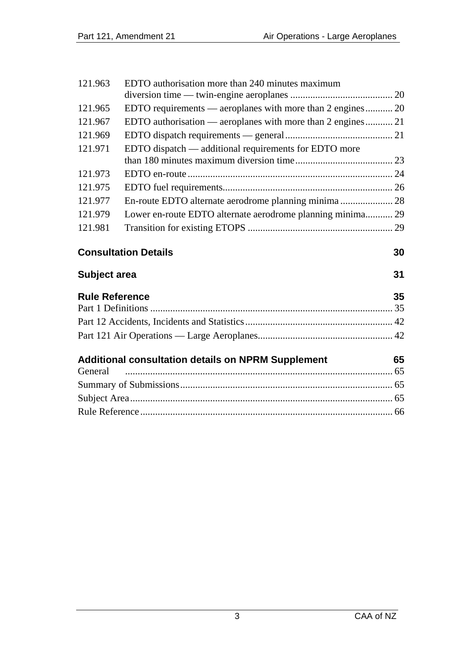| 121.963               | EDTO authorisation more than 240 minutes maximum            |    |  |
|-----------------------|-------------------------------------------------------------|----|--|
|                       |                                                             |    |  |
| 121.965               | EDTO requirements — aeroplanes with more than 2 engines 20  |    |  |
| 121.967               | EDTO authorisation — aeroplanes with more than 2 engines 21 |    |  |
| 121.969               |                                                             |    |  |
| 121.971               | EDTO dispatch — additional requirements for EDTO more       |    |  |
|                       |                                                             |    |  |
| 121.973               |                                                             |    |  |
| 121.975               |                                                             |    |  |
| 121.977               | En-route EDTO alternate aerodrome planning minima 28        |    |  |
| 121.979               | Lower en-route EDTO alternate aerodrome planning minima 29  |    |  |
| 121.981               |                                                             |    |  |
|                       |                                                             |    |  |
|                       | <b>Consultation Details</b>                                 | 30 |  |
| Subject area          |                                                             | 31 |  |
| <b>Rule Reference</b> |                                                             | 35 |  |
|                       |                                                             |    |  |
|                       |                                                             |    |  |
|                       |                                                             |    |  |
|                       | Additional consultation details on NPRM Supplement          | 65 |  |
| General               |                                                             |    |  |
|                       |                                                             |    |  |
|                       |                                                             |    |  |
|                       |                                                             |    |  |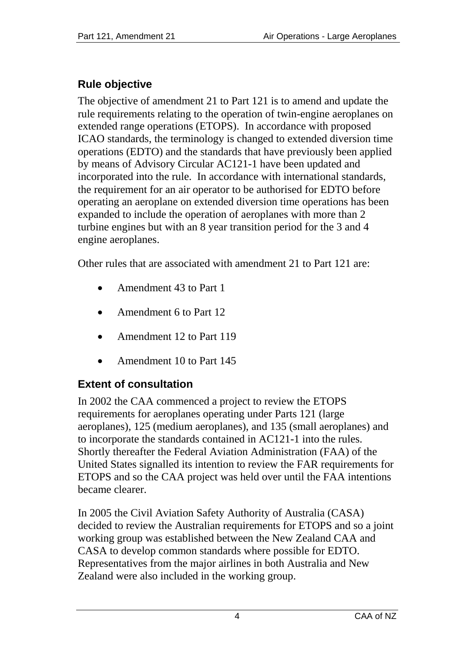# <span id="page-3-0"></span>**Rule objective**

The objective of amendment 21 to Part 121 is to amend and update the rule requirements relating to the operation of twin-engine aeroplanes on extended range operations (ETOPS). In accordance with proposed ICAO standards, the terminology is changed to extended diversion time operations (EDTO) and the standards that have previously been applied by means of Advisory Circular AC121-1 have been updated and incorporated into the rule. In accordance with international standards, the requirement for an air operator to be authorised for EDTO before operating an aeroplane on extended diversion time operations has been expanded to include the operation of aeroplanes with more than 2 turbine engines but with an 8 year transition period for the 3 and 4 engine aeroplanes.

Other rules that are associated with amendment 21 to Part 121 are:

- Amendment 43 to Part 1
- Amendment 6 to Part 12
- Amendment 12 to Part 119
- Amendment 10 to Part 145

# <span id="page-3-1"></span>**Extent of consultation**

In 2002 the CAA commenced a project to review the ETOPS requirements for aeroplanes operating under Parts 121 (large aeroplanes), 125 (medium aeroplanes), and 135 (small aeroplanes) and to incorporate the standards contained in AC121-1 into the rules. Shortly thereafter the Federal Aviation Administration (FAA) of the United States signalled its intention to review the FAR requirements for ETOPS and so the CAA project was held over until the FAA intentions became clearer.

In 2005 the Civil Aviation Safety Authority of Australia (CASA) decided to review the Australian requirements for ETOPS and so a joint working group was established between the New Zealand CAA and CASA to develop common standards where possible for EDTO. Representatives from the major airlines in both Australia and New Zealand were also included in the working group.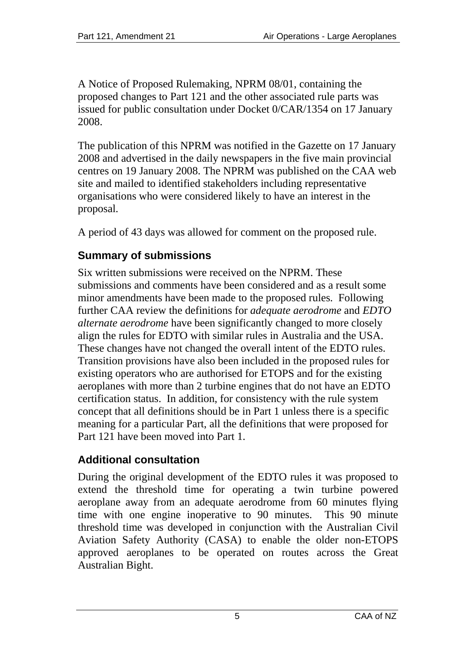A Notice of Proposed Rulemaking, NPRM 08/01, containing the proposed changes to Part 121 and the other associated rule parts was issued for public consultation under Docket 0/CAR/1354 on 17 January 2008.

The publication of this NPRM was notified in the Gazette on 17 January 2008 and advertised in the daily newspapers in the five main provincial centres on 19 January 2008. The NPRM was published on the CAA web site and mailed to identified stakeholders including representative organisations who were considered likely to have an interest in the proposal.

A period of 43 days was allowed for comment on the proposed rule.

# <span id="page-4-0"></span>**Summary of submissions**

Six written submissions were received on the NPRM. These submissions and comments have been considered and as a result some minor amendments have been made to the proposed rules. Following further CAA review the definitions for *adequate aerodrome* and *EDTO alternate aerodrome* have been significantly changed to more closely align the rules for EDTO with similar rules in Australia and the USA. These changes have not changed the overall intent of the EDTO rules. Transition provisions have also been included in the proposed rules for existing operators who are authorised for ETOPS and for the existing aeroplanes with more than 2 turbine engines that do not have an EDTO certification status. In addition, for consistency with the rule system concept that all definitions should be in Part 1 unless there is a specific meaning for a particular Part, all the definitions that were proposed for Part 121 have been moved into Part 1.

# <span id="page-4-1"></span>**Additional consultation**

During the original development of the EDTO rules it was proposed to extend the threshold time for operating a twin turbine powered aeroplane away from an adequate aerodrome from 60 minutes flying time with one engine inoperative to 90 minutes. This 90 minute threshold time was developed in conjunction with the Australian Civil Aviation Safety Authority (CASA) to enable the older non-ETOPS approved aeroplanes to be operated on routes across the Great Australian Bight.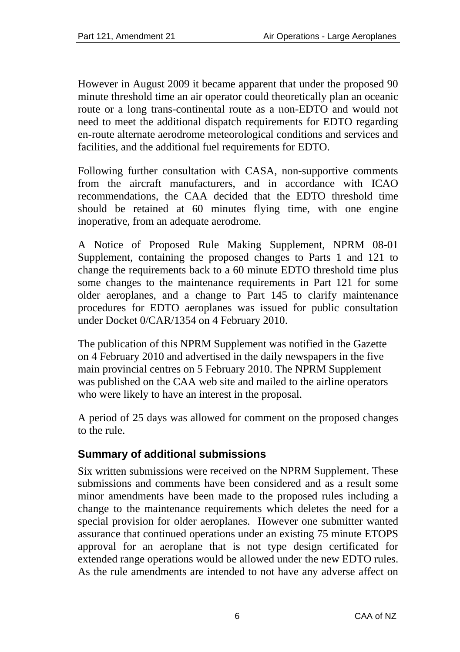However in August 2009 it became apparent that under the proposed 90 minute threshold time an air operator could theoretically plan an oceanic route or a long trans-continental route as a non-EDTO and would not need to meet the additional dispatch requirements for EDTO regarding en-route alternate aerodrome meteorological conditions and services and facilities, and the additional fuel requirements for EDTO.

Following further consultation with CASA, non-supportive comments from the aircraft manufacturers, and in accordance with ICAO recommendations, the CAA decided that the EDTO threshold time should be retained at 60 minutes flying time, with one engine inoperative, from an adequate aerodrome.

A Notice of Proposed Rule Making Supplement, NPRM 08-01 Supplement, containing the proposed changes to Parts 1 and 121 to change the requirements back to a 60 minute EDTO threshold time plus some changes to the maintenance requirements in Part 121 for some older aeroplanes, and a change to Part 145 to clarify maintenance procedures for EDTO aeroplanes was issued for public consultation under Docket 0/CAR/1354 on 4 February 2010.

The publication of this NPRM Supplement was notified in the Gazette on 4 February 2010 and advertised in the daily newspapers in the five main provincial centres on 5 February 2010. The NPRM Supplement was published on the CAA web site and mailed to the airline operators who were likely to have an interest in the proposal.

A period of 25 days was allowed for comment on the proposed changes to the rule.

# <span id="page-5-0"></span>**Summary of additional submissions**

Six written submissions were received on the NPRM Supplement. These submissions and comments have been considered and as a result some minor amendments have been made to the proposed rules including a change to the maintenance requirements which deletes the need for a special provision for older aeroplanes. However one submitter wanted assurance that continued operations under an existing 75 minute ETOPS approval for an aeroplane that is not type design certificated for extended range operations would be allowed under the new EDTO rules. As the rule amendments are intended to not have any adverse affect on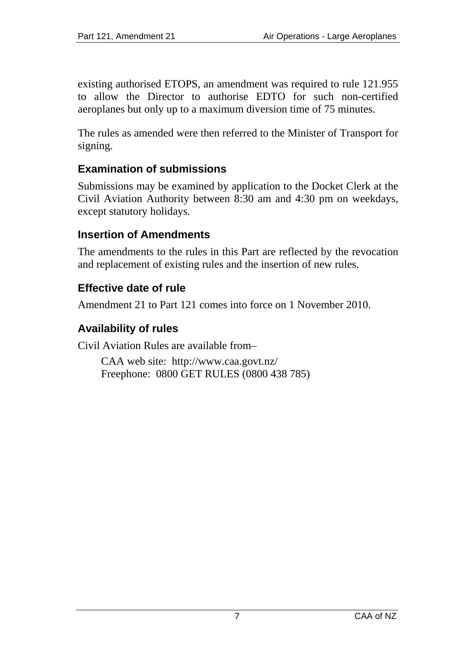existing authorised ETOPS, an amendment was required to rule 121.955 to allow the Director to authorise EDTO for such non-certified aeroplanes but only up to a maximum diversion time of 75 minutes.

The rules as amended were then referred to the Minister of Transport for signing.

# <span id="page-6-0"></span>**Examination of submissions**

Submissions may be examined by application to the Docket Clerk at the Civil Aviation Authority between 8:30 am and 4:30 pm on weekdays, except statutory holidays.

## <span id="page-6-1"></span>**Insertion of Amendments**

The amendments to the rules in this Part are reflected by the revocation and replacement of existing rules and the insertion of new rules.

## <span id="page-6-2"></span>**Effective date of rule**

Amendment 21 to Part 121 comes into force on 1 November 2010.

## <span id="page-6-3"></span>**Availability of rules**

Civil Aviation Rules are available from–

CAA web site: <http://www.caa.govt.nz/> Freephone: 0800 GET RULES (0800 438 785)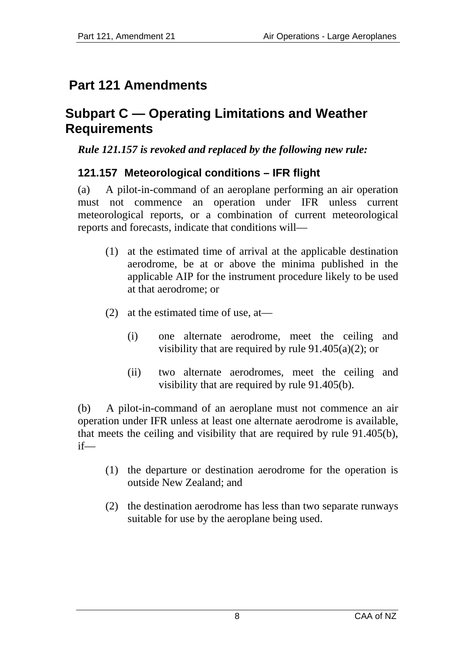# <span id="page-7-0"></span>**Part 121 Amendments**

# <span id="page-7-1"></span>**Subpart C — Operating Limitations and Weather Requirements**

## *Rule 121.157 is revoked and replaced by the following new rule:*

# <span id="page-7-2"></span>**121.157 Meteorological conditions – IFR flight**

(a) A pilot-in-command of an aeroplane performing an air operation must not commence an operation under IFR unless current meteorological reports, or a combination of current meteorological reports and forecasts, indicate that conditions will—

- (1) at the estimated time of arrival at the applicable destination aerodrome, be at or above the minima published in the applicable AIP for the instrument procedure likely to be used at that aerodrome; or
- (2) at the estimated time of use, at—
	- (i) one alternate aerodrome, meet the ceiling and visibility that are required by rule  $91.405(a)(2)$ ; or
	- (ii) two alternate aerodromes, meet the ceiling and visibility that are required by rule 91.405(b).

(b) A pilot-in-command of an aeroplane must not commence an air operation under IFR unless at least one alternate aerodrome is available, that meets the ceiling and visibility that are required by rule 91.405(b), if—

- (1) the departure or destination aerodrome for the operation is outside New Zealand; and
- (2) the destination aerodrome has less than two separate runways suitable for use by the aeroplane being used.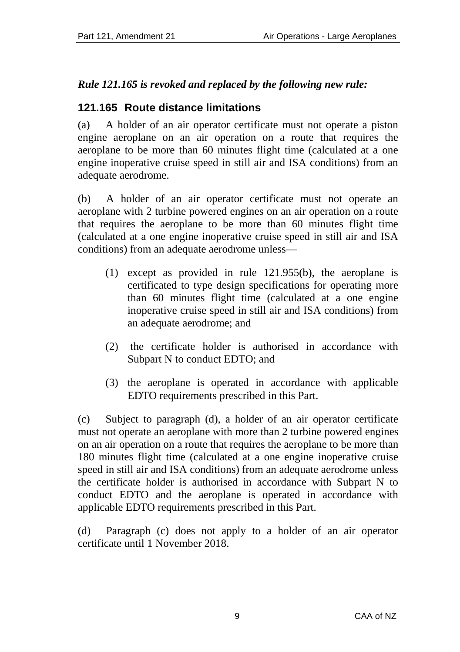# *Rule 121.165 is revoked and replaced by the following new rule:*

# <span id="page-8-0"></span>**121.165 Route distance limitations**

(a) A holder of an air operator certificate must not operate a piston engine aeroplane on an air operation on a route that requires the aeroplane to be more than 60 minutes flight time (calculated at a one engine inoperative cruise speed in still air and ISA conditions) from an adequate aerodrome.

(b) A holder of an air operator certificate must not operate an aeroplane with 2 turbine powered engines on an air operation on a route that requires the aeroplane to be more than 60 minutes flight time (calculated at a one engine inoperative cruise speed in still air and ISA conditions) from an adequate aerodrome unless—

- (1) except as provided in rule 121.955(b), the aeroplane is certificated to type design specifications for operating more than 60 minutes flight time (calculated at a one engine inoperative cruise speed in still air and ISA conditions) from an adequate aerodrome; and
- (2) the certificate holder is authorised in accordance with Subpart N to conduct EDTO; and
- (3) the aeroplane is operated in accordance with applicable EDTO requirements prescribed in this Part.

(c) Subject to paragraph (d), a holder of an air operator certificate must not operate an aeroplane with more than 2 turbine powered engines on an air operation on a route that requires the aeroplane to be more than 180 minutes flight time (calculated at a one engine inoperative cruise speed in still air and ISA conditions) from an adequate aerodrome unless the certificate holder is authorised in accordance with Subpart N to conduct EDTO and the aeroplane is operated in accordance with applicable EDTO requirements prescribed in this Part.

(d) Paragraph (c) does not apply to a holder of an air operator certificate until 1 November 2018.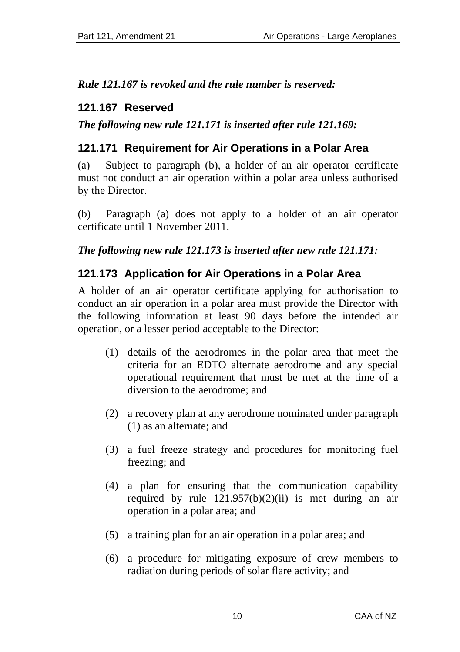*Rule 121.167 is revoked and the rule number is reserved:* 

# <span id="page-9-0"></span>**121.167 Reserved**

*The following new rule 121.171 is inserted after rule 121.169:* 

# <span id="page-9-1"></span>**121.171 Requirement for Air Operations in a Polar Area**

(a) Subject to paragraph (b), a holder of an air operator certificate must not conduct an air operation within a polar area unless authorised by the Director.

(b) Paragraph (a) does not apply to a holder of an air operator certificate until 1 November 2011.

## *The following new rule 121.173 is inserted after new rule 121.171:*

# <span id="page-9-2"></span>**121.173 Application for Air Operations in a Polar Area**

A holder of an air operator certificate applying for authorisation to conduct an air operation in a polar area must provide the Director with the following information at least 90 days before the intended air operation, or a lesser period acceptable to the Director:

- (1) details of the aerodromes in the polar area that meet the criteria for an EDTO alternate aerodrome and any special operational requirement that must be met at the time of a diversion to the aerodrome; and
- (2) a recovery plan at any aerodrome nominated under paragraph (1) as an alternate; and
- (3) a fuel freeze strategy and procedures for monitoring fuel freezing; and
- (4) a plan for ensuring that the communication capability required by rule  $121.957(b)(2)(ii)$  is met during an air operation in a polar area; and
- (5) a training plan for an air operation in a polar area; and
- (6) a procedure for mitigating exposure of crew members to radiation during periods of solar flare activity; and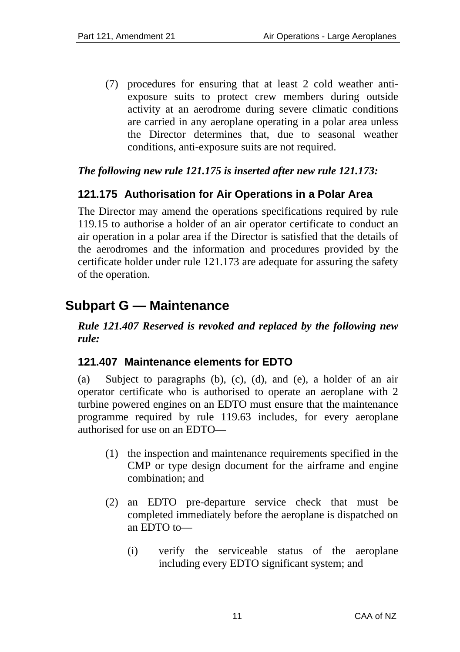(7) procedures for ensuring that at least 2 cold weather antiexposure suits to protect crew members during outside activity at an aerodrome during severe climatic conditions are carried in any aeroplane operating in a polar area unless the Director determines that, due to seasonal weather conditions, anti-exposure suits are not required.

#### *The following new rule 121.175 is inserted after new rule 121.173:*

# <span id="page-10-0"></span>**121.175 Authorisation for Air Operations in a Polar Area**

The Director may amend the operations specifications required by rule 119.15 to authorise a holder of an air operator certificate to conduct an air operation in a polar area if the Director is satisfied that the details of the aerodromes and the information and procedures provided by the certificate holder under rule 121.173 are adequate for assuring the safety of the operation.

# <span id="page-10-1"></span>**Subpart G — Maintenance**

*Rule 121.407 Reserved is revoked and replaced by the following new rule:* 

## <span id="page-10-2"></span>**121.407 Maintenance elements for EDTO**

(a) Subject to paragraphs (b), (c), (d), and (e), a holder of an air operator certificate who is authorised to operate an aeroplane with 2 turbine powered engines on an EDTO must ensure that the maintenance programme required by rule 119.63 includes, for every aeroplane authorised for use on an EDTO—

- (1) the inspection and maintenance requirements specified in the CMP or type design document for the airframe and engine combination; and
- (2) an EDTO pre-departure service check that must be completed immediately before the aeroplane is dispatched on an EDTO to—
	- (i) verify the serviceable status of the aeroplane including every EDTO significant system; and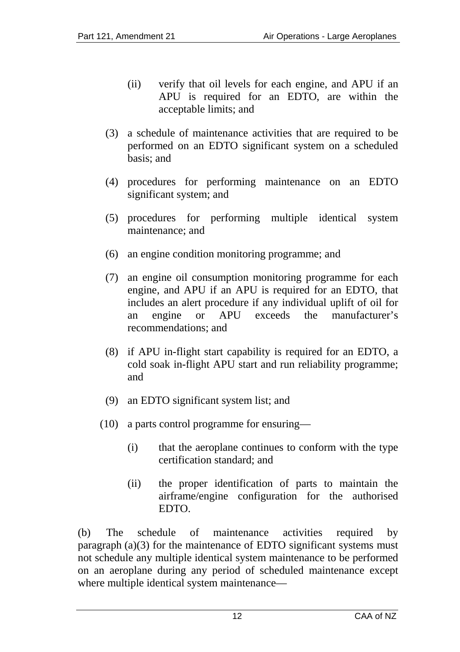- (ii) verify that oil levels for each engine, and APU if an APU is required for an EDTO, are within the acceptable limits; and
- (3) a schedule of maintenance activities that are required to be performed on an EDTO significant system on a scheduled basis; and
- (4) procedures for performing maintenance on an EDTO significant system; and
- (5) procedures for performing multiple identical system maintenance; and
- (6) an engine condition monitoring programme; and
- (7) an engine oil consumption monitoring programme for each engine, and APU if an APU is required for an EDTO, that includes an alert procedure if any individual uplift of oil for an engine or APU exceeds the manufacturer's recommendations; and
- (8) if APU in-flight start capability is required for an EDTO, a cold soak in-flight APU start and run reliability programme; and
- (9) an EDTO significant system list; and
- (10) a parts control programme for ensuring—
	- (i) that the aeroplane continues to conform with the type certification standard; and
	- (ii) the proper identification of parts to maintain the airframe/engine configuration for the authorised EDTO.

(b) The schedule of maintenance activities required by paragraph (a)(3) for the maintenance of EDTO significant systems must not schedule any multiple identical system maintenance to be performed on an aeroplane during any period of scheduled maintenance except where multiple identical system maintenance—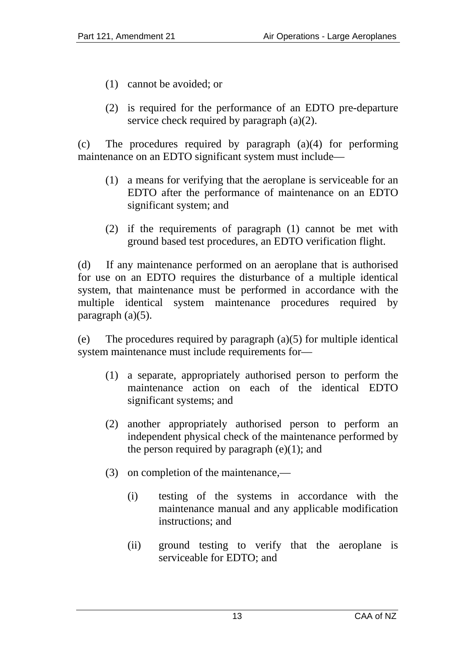- (1) cannot be avoided; or
- (2) is required for the performance of an EDTO pre-departure service check required by paragraph (a)(2).

(c) The procedures required by paragraph (a)(4) for performing maintenance on an EDTO significant system must include—

- (1) a means for verifying that the aeroplane is serviceable for an EDTO after the performance of maintenance on an EDTO significant system; and
- (2) if the requirements of paragraph (1) cannot be met with ground based test procedures, an EDTO verification flight.

(d) If any maintenance performed on an aeroplane that is authorised for use on an EDTO requires the disturbance of a multiple identical system, that maintenance must be performed in accordance with the multiple identical system maintenance procedures required by paragraph (a)(5).

(e) The procedures required by paragraph (a)(5) for multiple identical system maintenance must include requirements for—

- (1) a separate, appropriately authorised person to perform the maintenance action on each of the identical EDTO significant systems; and
- (2) another appropriately authorised person to perform an independent physical check of the maintenance performed by the person required by paragraph  $(e)(1)$ ; and
- (3) on completion of the maintenance,—
	- (i) testing of the systems in accordance with the maintenance manual and any applicable modification instructions; and
	- (ii) ground testing to verify that the aeroplane is serviceable for EDTO; and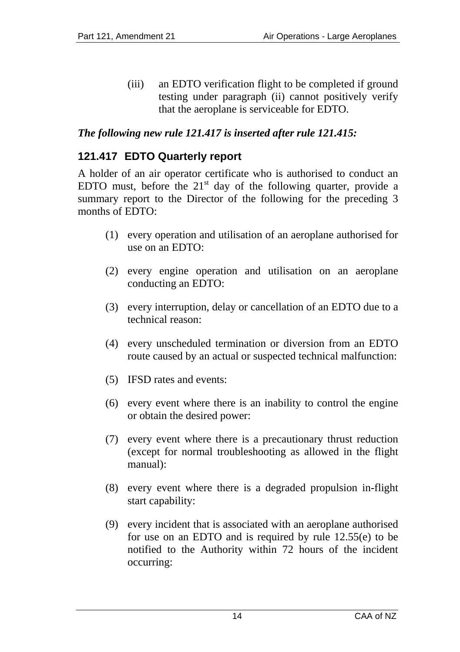(iii) an EDTO verification flight to be completed if ground testing under paragraph (ii) cannot positively verify that the aeroplane is serviceable for EDTO.

## *The following new rule 121.417 is inserted after rule 121.415:*

## <span id="page-13-0"></span>**121.417 EDTO Quarterly report**

A holder of an air operator certificate who is authorised to conduct an EDTO must, before the  $21<sup>st</sup>$  day of the following quarter, provide a summary report to the Director of the following for the preceding 3 months of EDTO:

- (1) every operation and utilisation of an aeroplane authorised for use on an EDTO:
- (2) every engine operation and utilisation on an aeroplane conducting an EDTO:
- (3) every interruption, delay or cancellation of an EDTO due to a technical reason:
- (4) every unscheduled termination or diversion from an EDTO route caused by an actual or suspected technical malfunction:
- (5) IFSD rates and events:
- (6) every event where there is an inability to control the engine or obtain the desired power:
- (7) every event where there is a precautionary thrust reduction (except for normal troubleshooting as allowed in the flight manual):
- (8) every event where there is a degraded propulsion in-flight start capability:
- (9) every incident that is associated with an aeroplane authorised for use on an EDTO and is required by rule 12.55(e) to be notified to the Authority within 72 hours of the incident occurring: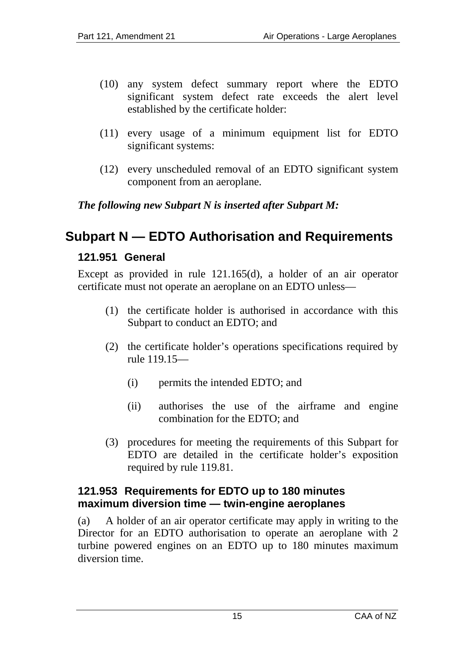- (10) any system defect summary report where the EDTO significant system defect rate exceeds the alert level established by the certificate holder:
- (11) every usage of a minimum equipment list for EDTO significant systems:
- (12) every unscheduled removal of an EDTO significant system component from an aeroplane.

## *The following new Subpart N is inserted after Subpart M:*

# <span id="page-14-1"></span><span id="page-14-0"></span>**Subpart N — EDTO Authorisation and Requirements**

#### **121.951 General**

Except as provided in rule 121.165(d), a holder of an air operator certificate must not operate an aeroplane on an EDTO unless—

- (1) the certificate holder is authorised in accordance with this Subpart to conduct an EDTO; and
- (2) the certificate holder's operations specifications required by rule 119.15—
	- (i) permits the intended EDTO; and
	- (ii) authorises the use of the airframe and engine combination for the EDTO; and
- (3) procedures for meeting the requirements of this Subpart for EDTO are detailed in the certificate holder's exposition required by rule 119.81.

#### <span id="page-14-2"></span>**121.953 Requirements for EDTO up to 180 minutes maximum diversion time — twin-engine aeroplanes**

(a) A holder of an air operator certificate may apply in writing to the Director for an EDTO authorisation to operate an aeroplane with 2 turbine powered engines on an EDTO up to 180 minutes maximum diversion time.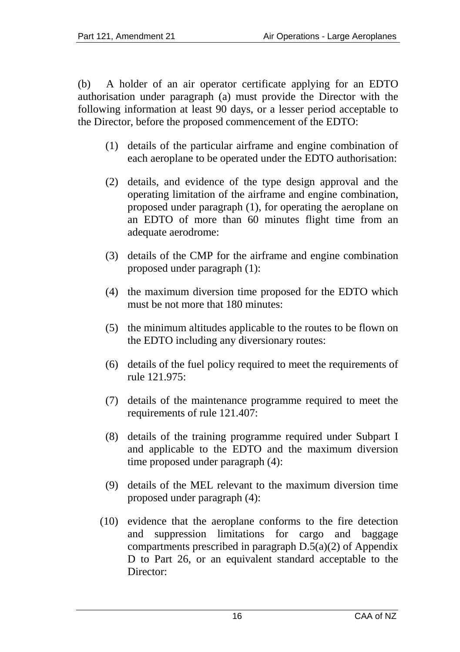(b) A holder of an air operator certificate applying for an EDTO authorisation under paragraph (a) must provide the Director with the following information at least 90 days, or a lesser period acceptable to the Director, before the proposed commencement of the EDTO:

- (1) details of the particular airframe and engine combination of each aeroplane to be operated under the EDTO authorisation:
- (2) details, and evidence of the type design approval and the operating limitation of the airframe and engine combination, proposed under paragraph (1), for operating the aeroplane on an EDTO of more than 60 minutes flight time from an adequate aerodrome:
- (3) details of the CMP for the airframe and engine combination proposed under paragraph (1):
- (4) the maximum diversion time proposed for the EDTO which must be not more that 180 minutes:
- (5) the minimum altitudes applicable to the routes to be flown on the EDTO including any diversionary routes:
- (6) details of the fuel policy required to meet the requirements of rule 121.975:
- (7) details of the maintenance programme required to meet the requirements of rule 121.407:
- (8) details of the training programme required under Subpart I and applicable to the EDTO and the maximum diversion time proposed under paragraph (4):
- (9) details of the MEL relevant to the maximum diversion time proposed under paragraph (4):
- (10) evidence that the aeroplane conforms to the fire detection and suppression limitations for cargo and baggage compartments prescribed in paragraph D.5(a)(2) of Appendix D to Part 26, or an equivalent standard acceptable to the Director: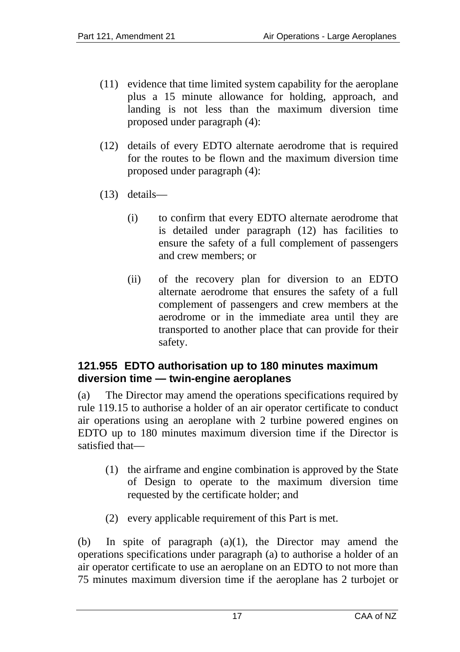- (11) evidence that time limited system capability for the aeroplane plus a 15 minute allowance for holding, approach, and landing is not less than the maximum diversion time proposed under paragraph (4):
- (12) details of every EDTO alternate aerodrome that is required for the routes to be flown and the maximum diversion time proposed under paragraph (4):
- (13) details—
	- (i) to confirm that every EDTO alternate aerodrome that is detailed under paragraph (12) has facilities to ensure the safety of a full complement of passengers and crew members; or
	- (ii) of the recovery plan for diversion to an EDTO alternate aerodrome that ensures the safety of a full complement of passengers and crew members at the aerodrome or in the immediate area until they are transported to another place that can provide for their safety.

#### <span id="page-16-0"></span>**121.955 EDTO authorisation up to 180 minutes maximum diversion time — twin-engine aeroplanes**

(a) The Director may amend the operations specifications required by rule 119.15 to authorise a holder of an air operator certificate to conduct air operations using an aeroplane with 2 turbine powered engines on EDTO up to 180 minutes maximum diversion time if the Director is satisfied that—

- (1) the airframe and engine combination is approved by the State of Design to operate to the maximum diversion time requested by the certificate holder; and
- (2) every applicable requirement of this Part is met.

(b) In spite of paragraph (a)(1), the Director may amend the operations specifications under paragraph (a) to authorise a holder of an air operator certificate to use an aeroplane on an EDTO to not more than 75 minutes maximum diversion time if the aeroplane has 2 turbojet or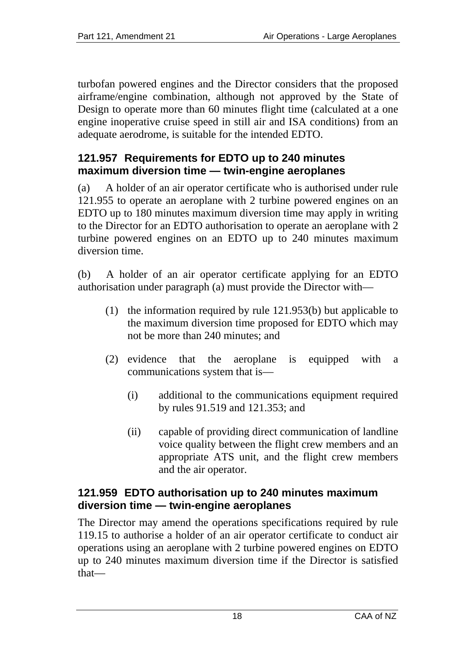turbofan powered engines and the Director considers that the proposed airframe/engine combination, although not approved by the State of Design to operate more than 60 minutes flight time (calculated at a one engine inoperative cruise speed in still air and ISA conditions) from an adequate aerodrome, is suitable for the intended EDTO.

#### <span id="page-17-0"></span>**121.957 Requirements for EDTO up to 240 minutes maximum diversion time — twin-engine aeroplanes**

(a) A holder of an air operator certificate who is authorised under rule 121.955 to operate an aeroplane with 2 turbine powered engines on an EDTO up to 180 minutes maximum diversion time may apply in writing to the Director for an EDTO authorisation to operate an aeroplane with 2 turbine powered engines on an EDTO up to 240 minutes maximum diversion time.

(b) A holder of an air operator certificate applying for an EDTO authorisation under paragraph (a) must provide the Director with—

- (1) the information required by rule 121.953(b) but applicable to the maximum diversion time proposed for EDTO which may not be more than 240 minutes; and
- (2) evidence that the aeroplane is equipped with a communications system that is—
	- (i) additional to the communications equipment required by rules 91.519 and 121.353; and
	- (ii) capable of providing direct communication of landline voice quality between the flight crew members and an appropriate ATS unit, and the flight crew members and the air operator.

#### <span id="page-17-1"></span>**121.959 EDTO authorisation up to 240 minutes maximum diversion time — twin-engine aeroplanes**

The Director may amend the operations specifications required by rule 119.15 to authorise a holder of an air operator certificate to conduct air operations using an aeroplane with 2 turbine powered engines on EDTO up to 240 minutes maximum diversion time if the Director is satisfied that—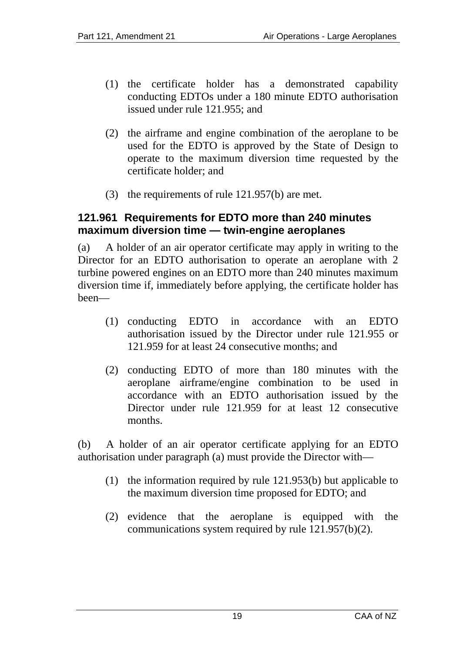- (1) the certificate holder has a demonstrated capability conducting EDTOs under a 180 minute EDTO authorisation issued under rule 121.955; and
- (2) the airframe and engine combination of the aeroplane to be used for the EDTO is approved by the State of Design to operate to the maximum diversion time requested by the certificate holder; and
- (3) the requirements of rule 121.957(b) are met.

#### <span id="page-18-0"></span>**121.961 Requirements for EDTO more than 240 minutes maximum diversion time — twin-engine aeroplanes**

(a) A holder of an air operator certificate may apply in writing to the Director for an EDTO authorisation to operate an aeroplane with 2 turbine powered engines on an EDTO more than 240 minutes maximum diversion time if, immediately before applying, the certificate holder has been—

- (1) conducting EDTO in accordance with an EDTO authorisation issued by the Director under rule 121.955 or 121.959 for at least 24 consecutive months; and
- (2) conducting EDTO of more than 180 minutes with the aeroplane airframe/engine combination to be used in accordance with an EDTO authorisation issued by the Director under rule 121.959 for at least 12 consecutive months.

(b) A holder of an air operator certificate applying for an EDTO authorisation under paragraph (a) must provide the Director with—

- (1) the information required by rule 121.953(b) but applicable to the maximum diversion time proposed for EDTO; and
- (2) evidence that the aeroplane is equipped with the communications system required by rule 121.957(b)(2).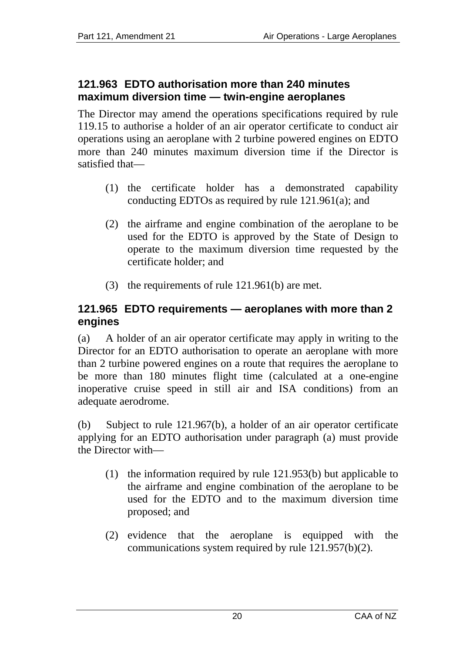#### <span id="page-19-0"></span>**121.963 EDTO authorisation more than 240 minutes maximum diversion time — twin-engine aeroplanes**

The Director may amend the operations specifications required by rule 119.15 to authorise a holder of an air operator certificate to conduct air operations using an aeroplane with 2 turbine powered engines on EDTO more than 240 minutes maximum diversion time if the Director is satisfied that—

- (1) the certificate holder has a demonstrated capability conducting EDTOs as required by rule 121.961(a); and
- (2) the airframe and engine combination of the aeroplane to be used for the EDTO is approved by the State of Design to operate to the maximum diversion time requested by the certificate holder; and
- (3) the requirements of rule 121.961(b) are met.

## <span id="page-19-1"></span>**121.965 EDTO requirements — aeroplanes with more than 2 engines**

(a) A holder of an air operator certificate may apply in writing to the Director for an EDTO authorisation to operate an aeroplane with more than 2 turbine powered engines on a route that requires the aeroplane to be more than 180 minutes flight time (calculated at a one-engine inoperative cruise speed in still air and ISA conditions) from an adequate aerodrome.

(b) Subject to rule 121.967(b), a holder of an air operator certificate applying for an EDTO authorisation under paragraph (a) must provide the Director with—

- (1) the information required by rule 121.953(b) but applicable to the airframe and engine combination of the aeroplane to be used for the EDTO and to the maximum diversion time proposed; and
- (2) evidence that the aeroplane is equipped with the communications system required by rule 121.957(b)(2).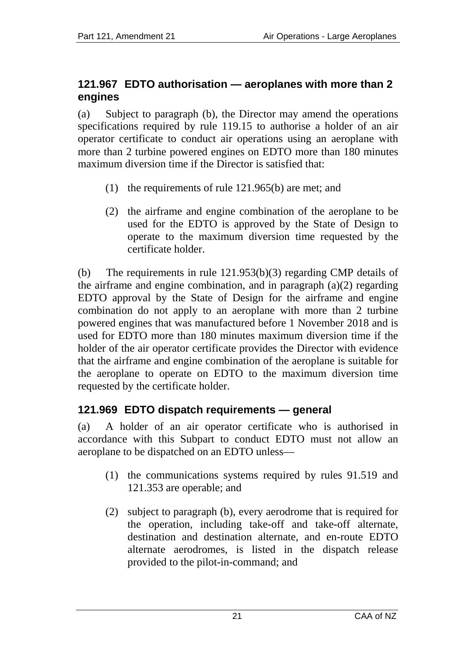#### <span id="page-20-0"></span>**121.967 EDTO authorisation — aeroplanes with more than 2 engines**

(a) Subject to paragraph (b), the Director may amend the operations specifications required by rule 119.15 to authorise a holder of an air operator certificate to conduct air operations using an aeroplane with more than 2 turbine powered engines on EDTO more than 180 minutes maximum diversion time if the Director is satisfied that:

- (1) the requirements of rule 121.965(b) are met; and
- (2) the airframe and engine combination of the aeroplane to be used for the EDTO is approved by the State of Design to operate to the maximum diversion time requested by the certificate holder.

(b) The requirements in rule 121.953(b)(3) regarding CMP details of the airframe and engine combination, and in paragraph (a)(2) regarding EDTO approval by the State of Design for the airframe and engine combination do not apply to an aeroplane with more than 2 turbine powered engines that was manufactured before 1 November 2018 and is used for EDTO more than 180 minutes maximum diversion time if the holder of the air operator certificate provides the Director with evidence that the airframe and engine combination of the aeroplane is suitable for the aeroplane to operate on EDTO to the maximum diversion time requested by the certificate holder.

# <span id="page-20-1"></span>**121.969 EDTO dispatch requirements — general**

(a) A holder of an air operator certificate who is authorised in accordance with this Subpart to conduct EDTO must not allow an aeroplane to be dispatched on an EDTO unless—

- (1) the communications systems required by rules 91.519 and 121.353 are operable; and
- (2) subject to paragraph (b), every aerodrome that is required for the operation, including take-off and take-off alternate, destination and destination alternate, and en-route EDTO alternate aerodromes, is listed in the dispatch release provided to the pilot-in-command; and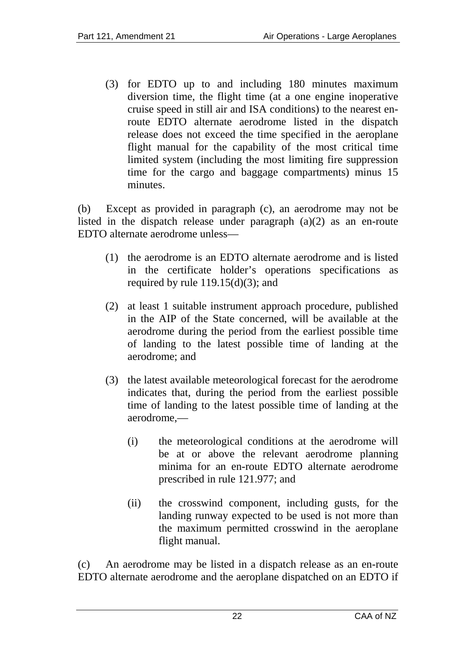(3) for EDTO up to and including 180 minutes maximum diversion time, the flight time (at a one engine inoperative cruise speed in still air and ISA conditions) to the nearest enroute EDTO alternate aerodrome listed in the dispatch release does not exceed the time specified in the aeroplane flight manual for the capability of the most critical time limited system (including the most limiting fire suppression time for the cargo and baggage compartments) minus 15 minutes.

(b) Except as provided in paragraph (c), an aerodrome may not be listed in the dispatch release under paragraph (a)(2) as an en-route EDTO alternate aerodrome unless—

- (1) the aerodrome is an EDTO alternate aerodrome and is listed in the certificate holder's operations specifications as required by rule  $119.15(d)(3)$ ; and
- (2) at least 1 suitable instrument approach procedure, published in the AIP of the State concerned, will be available at the aerodrome during the period from the earliest possible time of landing to the latest possible time of landing at the aerodrome; and
- (3) the latest available meteorological forecast for the aerodrome indicates that, during the period from the earliest possible time of landing to the latest possible time of landing at the aerodrome,—
	- (i) the meteorological conditions at the aerodrome will be at or above the relevant aerodrome planning minima for an en-route EDTO alternate aerodrome prescribed in rule 121.977; and
	- (ii) the crosswind component, including gusts, for the landing runway expected to be used is not more than the maximum permitted crosswind in the aeroplane flight manual.

(c) An aerodrome may be listed in a dispatch release as an en-route EDTO alternate aerodrome and the aeroplane dispatched on an EDTO if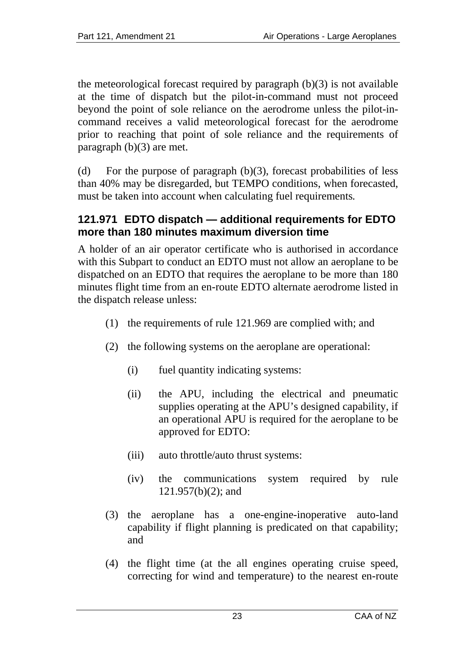the meteorological forecast required by paragraph  $(b)(3)$  is not available at the time of dispatch but the pilot-in-command must not proceed beyond the point of sole reliance on the aerodrome unless the pilot-incommand receives a valid meteorological forecast for the aerodrome prior to reaching that point of sole reliance and the requirements of paragraph (b)(3) are met.

(d) For the purpose of paragraph  $(b)(3)$ , forecast probabilities of less than 40% may be disregarded, but TEMPO conditions, when forecasted, must be taken into account when calculating fuel requirements*.*

#### <span id="page-22-0"></span>**121.971 EDTO dispatch — additional requirements for EDTO more than 180 minutes maximum diversion time**

A holder of an air operator certificate who is authorised in accordance with this Subpart to conduct an EDTO must not allow an aeroplane to be dispatched on an EDTO that requires the aeroplane to be more than 180 minutes flight time from an en-route EDTO alternate aerodrome listed in the dispatch release unless:

- (1) the requirements of rule 121.969 are complied with; and
- (2) the following systems on the aeroplane are operational:
	- (i) fuel quantity indicating systems:
	- (ii) the APU, including the electrical and pneumatic supplies operating at the APU's designed capability, if an operational APU is required for the aeroplane to be approved for EDTO:
	- (iii) auto throttle/auto thrust systems:
	- (iv) the communications system required by rule 121.957(b)(2); and
- (3) the aeroplane has a one-engine-inoperative auto-land capability if flight planning is predicated on that capability; and
- (4) the flight time (at the all engines operating cruise speed, correcting for wind and temperature) to the nearest en-route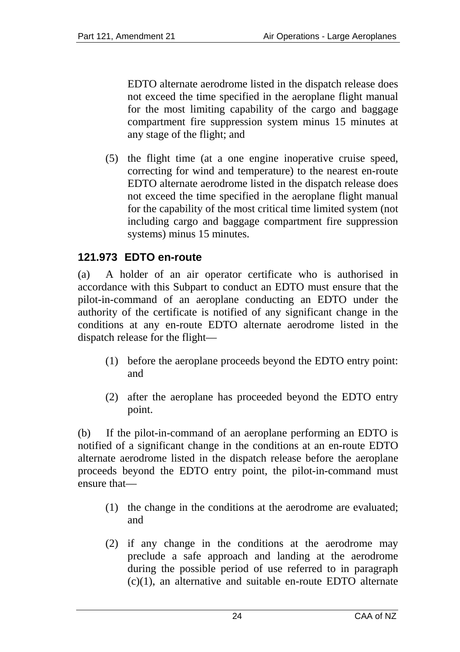EDTO alternate aerodrome listed in the dispatch release does not exceed the time specified in the aeroplane flight manual for the most limiting capability of the cargo and baggage compartment fire suppression system minus 15 minutes at any stage of the flight; and

(5) the flight time (at a one engine inoperative cruise speed, correcting for wind and temperature) to the nearest en-route EDTO alternate aerodrome listed in the dispatch release does not exceed the time specified in the aeroplane flight manual for the capability of the most critical time limited system (not including cargo and baggage compartment fire suppression systems) minus 15 minutes.

# <span id="page-23-0"></span>**121.973 EDTO en-route**

(a) A holder of an air operator certificate who is authorised in accordance with this Subpart to conduct an EDTO must ensure that the pilot-in-command of an aeroplane conducting an EDTO under the authority of the certificate is notified of any significant change in the conditions at any en-route EDTO alternate aerodrome listed in the dispatch release for the flight—

- (1) before the aeroplane proceeds beyond the EDTO entry point: and
- (2) after the aeroplane has proceeded beyond the EDTO entry point.

(b) If the pilot-in-command of an aeroplane performing an EDTO is notified of a significant change in the conditions at an en-route EDTO alternate aerodrome listed in the dispatch release before the aeroplane proceeds beyond the EDTO entry point, the pilot-in-command must ensure that—

- (1) the change in the conditions at the aerodrome are evaluated; and
- (2) if any change in the conditions at the aerodrome may preclude a safe approach and landing at the aerodrome during the possible period of use referred to in paragraph (c)(1), an alternative and suitable en-route EDTO alternate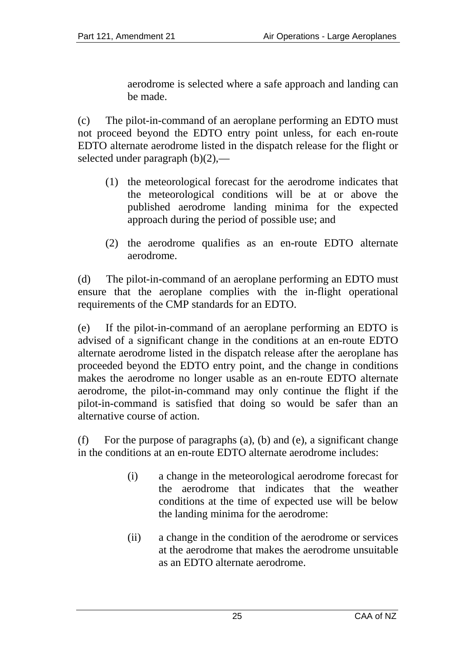aerodrome is selected where a safe approach and landing can be made.

(c) The pilot-in-command of an aeroplane performing an EDTO must not proceed beyond the EDTO entry point unless, for each en-route EDTO alternate aerodrome listed in the dispatch release for the flight or selected under paragraph (b)(2),—

- (1) the meteorological forecast for the aerodrome indicates that the meteorological conditions will be at or above the published aerodrome landing minima for the expected approach during the period of possible use; and
- (2) the aerodrome qualifies as an en-route EDTO alternate aerodrome.

(d) The pilot-in-command of an aeroplane performing an EDTO must ensure that the aeroplane complies with the in-flight operational requirements of the CMP standards for an EDTO.

(e) If the pilot-in-command of an aeroplane performing an EDTO is advised of a significant change in the conditions at an en-route EDTO alternate aerodrome listed in the dispatch release after the aeroplane has proceeded beyond the EDTO entry point, and the change in conditions makes the aerodrome no longer usable as an en-route EDTO alternate aerodrome, the pilot-in-command may only continue the flight if the pilot-in-command is satisfied that doing so would be safer than an alternative course of action.

(f) For the purpose of paragraphs (a), (b) and (e), a significant change in the conditions at an en-route EDTO alternate aerodrome includes:

- (i) a change in the meteorological aerodrome forecast for the aerodrome that indicates that the weather conditions at the time of expected use will be below the landing minima for the aerodrome:
- (ii) a change in the condition of the aerodrome or services at the aerodrome that makes the aerodrome unsuitable as an EDTO alternate aerodrome.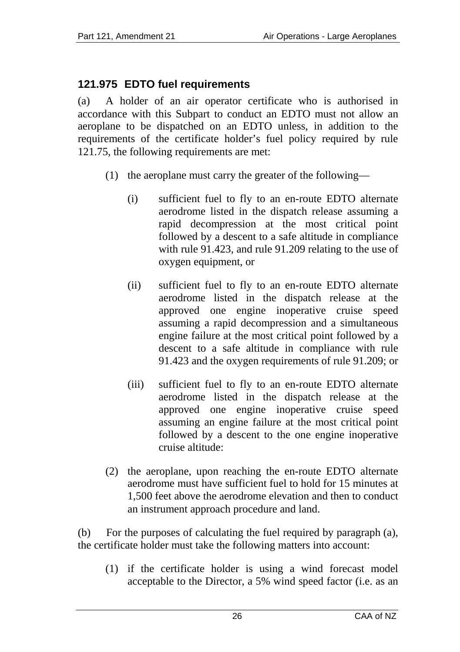# <span id="page-25-0"></span>**121.975 EDTO fuel requirements**

(a) A holder of an air operator certificate who is authorised in accordance with this Subpart to conduct an EDTO must not allow an aeroplane to be dispatched on an EDTO unless, in addition to the requirements of the certificate holder's fuel policy required by rule 121.75, the following requirements are met:

- (1) the aeroplane must carry the greater of the following—
	- (i) sufficient fuel to fly to an en-route EDTO alternate aerodrome listed in the dispatch release assuming a rapid decompression at the most critical point followed by a descent to a safe altitude in compliance with rule 91.423, and rule 91.209 relating to the use of oxygen equipment, or
	- (ii) sufficient fuel to fly to an en-route EDTO alternate aerodrome listed in the dispatch release at the approved one engine inoperative cruise speed assuming a rapid decompression and a simultaneous engine failure at the most critical point followed by a descent to a safe altitude in compliance with rule 91.423 and the oxygen requirements of rule 91.209; or
	- (iii) sufficient fuel to fly to an en-route EDTO alternate aerodrome listed in the dispatch release at the approved one engine inoperative cruise speed assuming an engine failure at the most critical point followed by a descent to the one engine inoperative cruise altitude:
- (2) the aeroplane, upon reaching the en-route EDTO alternate aerodrome must have sufficient fuel to hold for 15 minutes at 1,500 feet above the aerodrome elevation and then to conduct an instrument approach procedure and land.

(b) For the purposes of calculating the fuel required by paragraph (a), the certificate holder must take the following matters into account:

(1) if the certificate holder is using a wind forecast model acceptable to the Director, a 5% wind speed factor (i.e. as an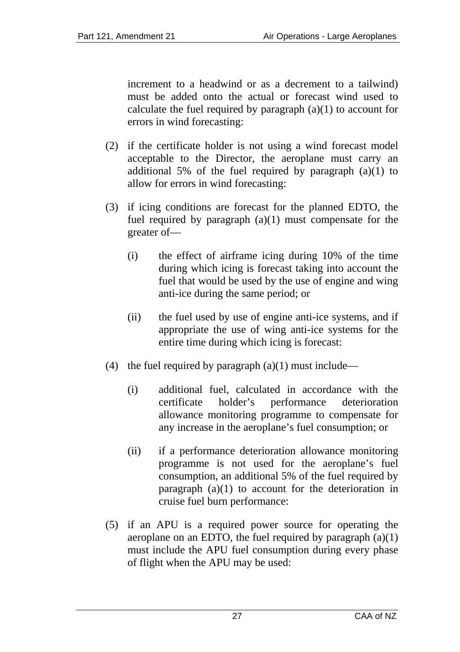increment to a headwind or as a decrement to a tailwind) must be added onto the actual or forecast wind used to calculate the fuel required by paragraph  $(a)(1)$  to account for errors in wind forecasting:

- (2) if the certificate holder is not using a wind forecast model acceptable to the Director, the aeroplane must carry an additional 5% of the fuel required by paragraph (a)(1) to allow for errors in wind forecasting:
- (3) if icing conditions are forecast for the planned EDTO, the fuel required by paragraph  $(a)(1)$  must compensate for the greater of—
	- (i) the effect of airframe icing during 10% of the time during which icing is forecast taking into account the fuel that would be used by the use of engine and wing anti-ice during the same period; or
	- (ii) the fuel used by use of engine anti-ice systems, and if appropriate the use of wing anti-ice systems for the entire time during which icing is forecast:
- (4) the fuel required by paragraph  $(a)(1)$  must include—
	- (i) additional fuel, calculated in accordance with the certificate holder's performance deterioration allowance monitoring programme to compensate for any increase in the aeroplane's fuel consumption; or
	- (ii) if a performance deterioration allowance monitoring programme is not used for the aeroplane's fuel consumption, an additional 5% of the fuel required by paragraph (a)(1) to account for the deterioration in cruise fuel burn performance:
- (5) if an APU is a required power source for operating the aeroplane on an EDTO, the fuel required by paragraph  $(a)(1)$ must include the APU fuel consumption during every phase of flight when the APU may be used: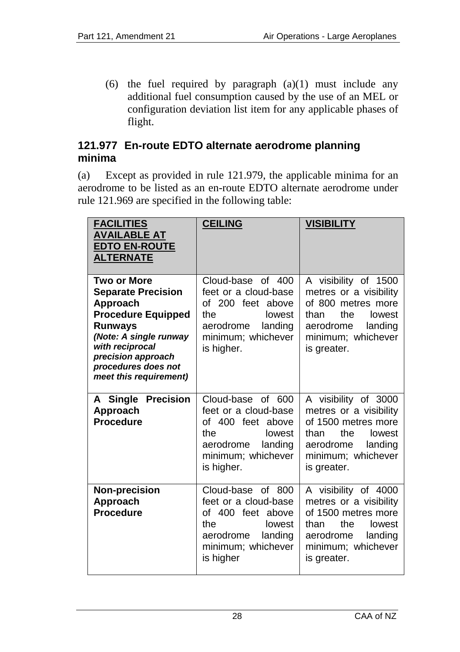(6) the fuel required by paragraph  $(a)(1)$  must include any additional fuel consumption caused by the use of an MEL or configuration deviation list item for any applicable phases of flight.

#### <span id="page-27-0"></span>**121.977 En-route EDTO alternate aerodrome planning minima**

(a) Except as provided in rule 121.979, the applicable minima for an aerodrome to be listed as an en-route EDTO alternate aerodrome under rule 121.969 are specified in the following table:

| <b>FACILITIES</b><br><b>AVAILABLE AT</b><br><b>EDTO EN-ROUTE</b><br><b>ALTERNATE</b>                                                                                                                                           | <b>CEILING</b>                                                                                                                              | <b>VISIBILITY</b>                                                                                                                                           |
|--------------------------------------------------------------------------------------------------------------------------------------------------------------------------------------------------------------------------------|---------------------------------------------------------------------------------------------------------------------------------------------|-------------------------------------------------------------------------------------------------------------------------------------------------------------|
| <b>Two or More</b><br><b>Separate Precision</b><br>Approach<br><b>Procedure Equipped</b><br><b>Runways</b><br>(Note: A single runway<br>with reciprocal<br>precision approach<br>procedures does not<br>meet this requirement) | Cloud-base of 400<br>feet or a cloud-base<br>of 200 feet above<br>the<br>lowest<br>aerodrome<br>landing<br>minimum; whichever<br>is higher. | A visibility of 1500<br>metres or a visibility<br>of 800 metres more<br>the<br>than<br>lowest<br>aerodrome<br>landing<br>minimum; whichever<br>is greater.  |
| A Single Precision<br>Approach<br><b>Procedure</b>                                                                                                                                                                             | Cloud-base of 600<br>feet or a cloud-base<br>of 400 feet above<br>the<br>lowest<br>landing<br>aerodrome<br>minimum; whichever<br>is higher. | A visibility of 3000<br>metres or a visibility<br>of 1500 metres more<br>the<br>than<br>lowest<br>landing<br>aerodrome<br>minimum; whichever<br>is greater. |
| Non-precision<br>Approach<br><b>Procedure</b>                                                                                                                                                                                  | Cloud-base of 800<br>feet or a cloud-base<br>of 400 feet above<br>the<br>lowest<br>aerodrome<br>landing<br>minimum; whichever<br>is higher  | A visibility of 4000<br>metres or a visibility<br>of 1500 metres more<br>the<br>than<br>lowest<br>aerodrome<br>landing<br>minimum; whichever<br>is greater. |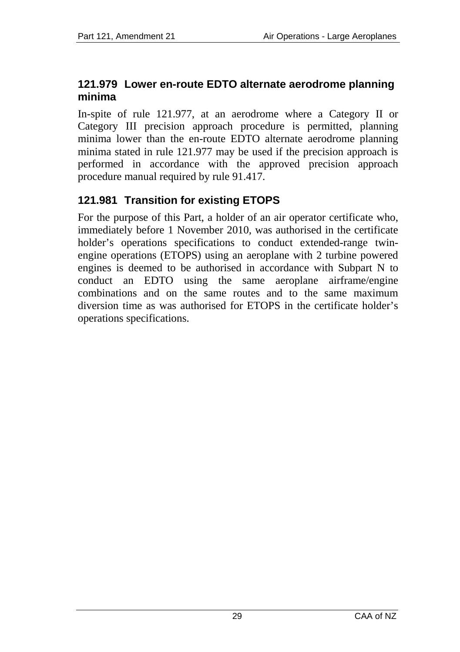#### <span id="page-28-0"></span>**121.979 Lower en-route EDTO alternate aerodrome planning minima**

In-spite of rule 121.977, at an aerodrome where a Category II or Category III precision approach procedure is permitted, planning minima lower than the en-route EDTO alternate aerodrome planning minima stated in rule 121.977 may be used if the precision approach is performed in accordance with the approved precision approach procedure manual required by rule 91.417.

## <span id="page-28-1"></span>**121.981 Transition for existing ETOPS**

For the purpose of this Part, a holder of an air operator certificate who, immediately before 1 November 2010*,* was authorised in the certificate holder's operations specifications to conduct extended-range twinengine operations (ETOPS) using an aeroplane with 2 turbine powered engines is deemed to be authorised in accordance with Subpart N to conduct an EDTO using the same aeroplane airframe/engine combinations and on the same routes and to the same maximum diversion time as was authorised for ETOPS in the certificate holder's operations specifications.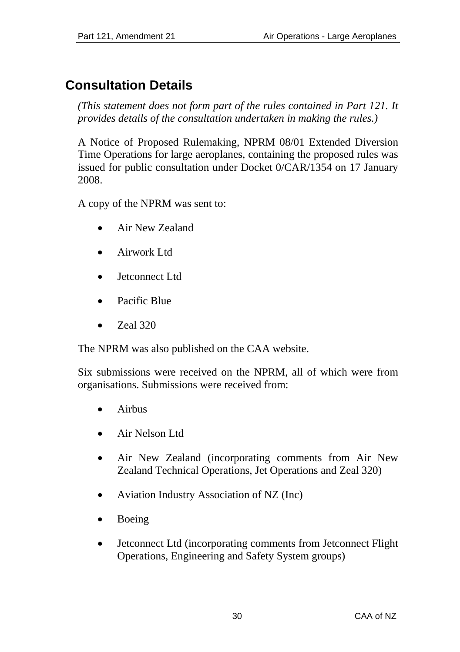# <span id="page-29-0"></span>**Consultation Details**

*(This statement does not form part of the rules contained in Part 121. It provides details of the consultation undertaken in making the rules.)* 

A Notice of Proposed Rulemaking, NPRM 08/01 Extended Diversion Time Operations for large aeroplanes, containing the proposed rules was issued for public consultation under Docket 0/CAR/1354 on 17 January 2008.

A copy of the NPRM was sent to:

- Air New Zealand
- Airwork Ltd
- Jetconnect Ltd
- Pacific Blue
- Zeal 320

The NPRM was also published on the CAA website.

Six submissions were received on the NPRM, all of which were from organisations. Submissions were received from:

- Airbus
- Air Nelson Ltd
- Air New Zealand (incorporating comments from Air New Zealand Technical Operations, Jet Operations and Zeal 320)
- Aviation Industry Association of NZ (Inc)
- Boeing
- Jetconnect Ltd (incorporating comments from Jetconnect Flight Operations, Engineering and Safety System groups)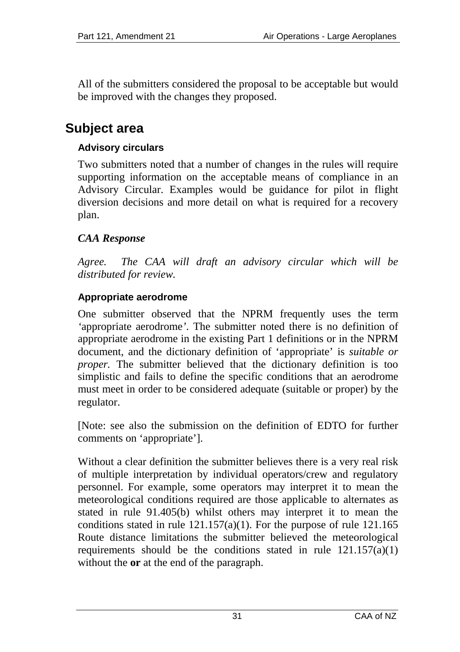All of the submitters considered the proposal to be acceptable but would be improved with the changes they proposed.

# <span id="page-30-0"></span>**Subject area**

## **Advisory circulars**

Two submitters noted that a number of changes in the rules will require supporting information on the acceptable means of compliance in an Advisory Circular. Examples would be guidance for pilot in flight diversion decisions and more detail on what is required for a recovery plan.

## *CAA Response*

*Agree. The CAA will draft an advisory circular which will be distributed for review.* 

## **Appropriate aerodrome**

One submitter observed that the NPRM frequently uses the term *'*appropriate aerodrome*'*. The submitter noted there is no definition of appropriate aerodrome in the existing Part 1 definitions or in the NPRM document, and the dictionary definition of 'appropriate' is *suitable or proper.* The submitter believed that the dictionary definition is too simplistic and fails to define the specific conditions that an aerodrome must meet in order to be considered adequate (suitable or proper) by the regulator.

[Note: see also the submission on the definition of EDTO for further comments on 'appropriate'].

Without a clear definition the submitter believes there is a very real risk of multiple interpretation by individual operators/crew and regulatory personnel. For example, some operators may interpret it to mean the meteorological conditions required are those applicable to alternates as stated in rule 91.405(b) whilst others may interpret it to mean the conditions stated in rule  $121.157(a)(1)$ . For the purpose of rule  $121.165$ Route distance limitations the submitter believed the meteorological requirements should be the conditions stated in rule  $121.157(a)(1)$ without the **or** at the end of the paragraph.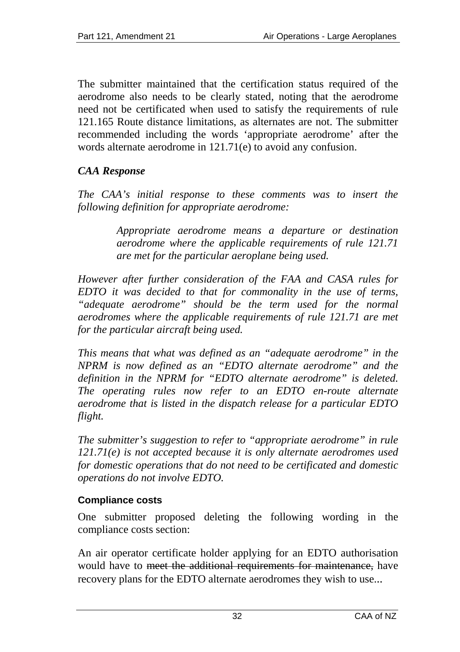The submitter maintained that the certification status required of the aerodrome also needs to be clearly stated, noting that the aerodrome need not be certificated when used to satisfy the requirements of rule 121.165 Route distance limitations, as alternates are not. The submitter recommended including the words 'appropriate aerodrome' after the words alternate aerodrome in 121.71(e) to avoid any confusion.

## *CAA Response*

*The CAA's initial response to these comments was to insert the following definition for appropriate aerodrome:* 

> *Appropriate aerodrome means a departure or destination aerodrome where the applicable requirements of rule 121.71 are met for the particular aeroplane being used.*

*However after further consideration of the FAA and CASA rules for EDTO it was decided to that for commonality in the use of terms, "adequate aerodrome" should be the term used for the normal aerodromes where the applicable requirements of rule 121.71 are met for the particular aircraft being used.* 

*This means that what was defined as an "adequate aerodrome" in the NPRM is now defined as an "EDTO alternate aerodrome" and the definition in the NPRM for "EDTO alternate aerodrome" is deleted. The operating rules now refer to an EDTO en-route alternate aerodrome that is listed in the dispatch release for a particular EDTO flight.* 

*The submitter's suggestion to refer to "appropriate aerodrome" in rule 121.71(e) is not accepted because it is only alternate aerodromes used for domestic operations that do not need to be certificated and domestic operations do not involve EDTO.* 

#### **Compliance costs**

One submitter proposed deleting the following wording in the compliance costs section:

An air operator certificate holder applying for an EDTO authorisation would have to meet the additional requirements for maintenance, have recovery plans for the EDTO alternate aerodromes they wish to use...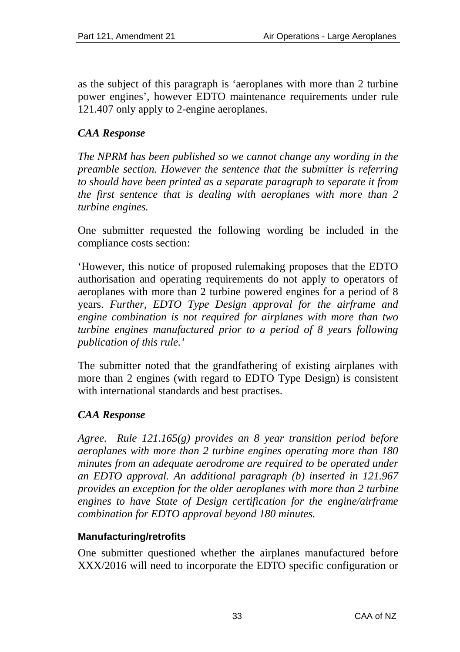as the subject of this paragraph is 'aeroplanes with more than 2 turbine power engines', however EDTO maintenance requirements under rule 121.407 only apply to 2-engine aeroplanes.

## *CAA Response*

*The NPRM has been published so we cannot change any wording in the preamble section. However the sentence that the submitter is referring to should have been printed as a separate paragraph to separate it from the first sentence that is dealing with aeroplanes with more than 2 turbine engines.* 

One submitter requested the following wording be included in the compliance costs section:

'However, this notice of proposed rulemaking proposes that the EDTO authorisation and operating requirements do not apply to operators of aeroplanes with more than 2 turbine powered engines for a period of 8 years. *Further, EDTO Type Design approval for the airframe and engine combination is not required for airplanes with more than two turbine engines manufactured prior to a period of 8 years following publication of this rule.'* 

The submitter noted that the grandfathering of existing airplanes with more than 2 engines (with regard to EDTO Type Design) is consistent with international standards and best practises.

## *CAA Response*

*Agree. Rule 121.165(g) provides an 8 year transition period before aeroplanes with more than 2 turbine engines operating more than 180 minutes from an adequate aerodrome are required to be operated under an EDTO approval. An additional paragraph (b) inserted in 121.967 provides an exception for the older aeroplanes with more than 2 turbine engines to have State of Design certification for the engine/airframe combination for EDTO approval beyond 180 minutes.* 

#### **Manufacturing/retrofits**

One submitter questioned whether the airplanes manufactured before XXX/2016 will need to incorporate the EDTO specific configuration or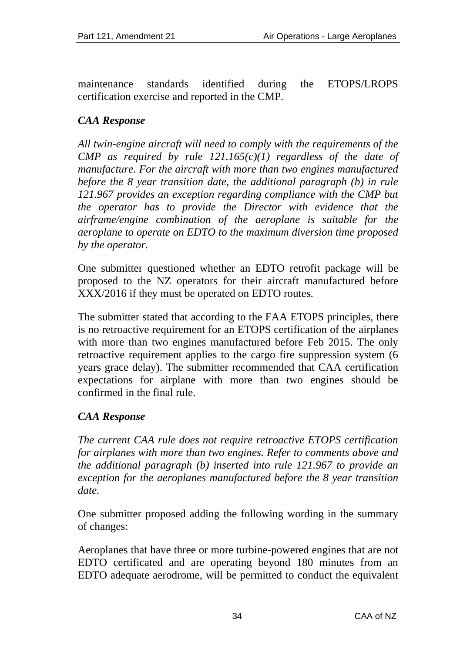maintenance standards identified during the ETOPS/LROPS certification exercise and reported in the CMP.

## *CAA Response*

*All twin-engine aircraft will need to comply with the requirements of the CMP* as required by rule  $121.165(c)(1)$  regardless of the date of *manufacture. For the aircraft with more than two engines manufactured before the 8 year transition date, the additional paragraph (b) in rule 121.967 provides an exception regarding compliance with the CMP but the operator has to provide the Director with evidence that the airframe/engine combination of the aeroplane is suitable for the aeroplane to operate on EDTO to the maximum diversion time proposed by the operator.* 

One submitter questioned whether an EDTO retrofit package will be proposed to the NZ operators for their aircraft manufactured before XXX/2016 if they must be operated on EDTO routes.

The submitter stated that according to the FAA ETOPS principles, there is no retroactive requirement for an ETOPS certification of the airplanes with more than two engines manufactured before Feb 2015. The only retroactive requirement applies to the cargo fire suppression system (6 years grace delay). The submitter recommended that CAA certification expectations for airplane with more than two engines should be confirmed in the final rule.

#### *CAA Response*

*The current CAA rule does not require retroactive ETOPS certification for airplanes with more than two engines. Refer to comments above and the additional paragraph (b) inserted into rule 121.967 to provide an exception for the aeroplanes manufactured before the 8 year transition date.* 

One submitter proposed adding the following wording in the summary of changes:

Aeroplanes that have three or more turbine-powered engines that are not EDTO certificated and are operating beyond 180 minutes from an EDTO adequate aerodrome, will be permitted to conduct the equivalent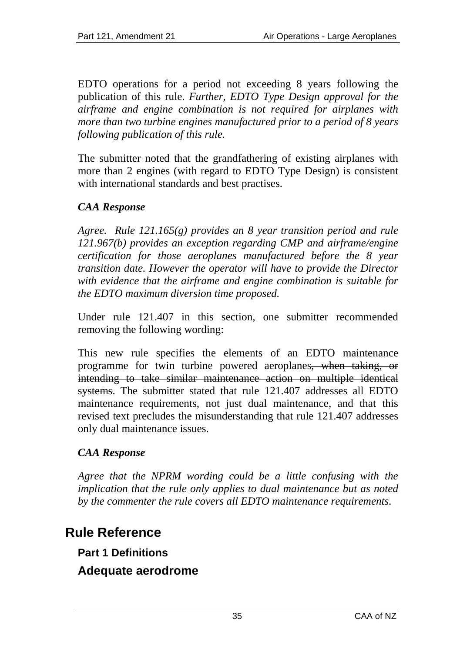EDTO operations for a period not exceeding 8 years following the publication of this rule. *Further, EDTO Type Design approval for the airframe and engine combination is not required for airplanes with more than two turbine engines manufactured prior to a period of 8 years following publication of this rule.*

The submitter noted that the grandfathering of existing airplanes with more than 2 engines (with regard to EDTO Type Design) is consistent with international standards and best practises.

## *CAA Response*

*Agree. Rule 121.165(g) provides an 8 year transition period and rule 121.967(b) provides an exception regarding CMP and airframe/engine certification for those aeroplanes manufactured before the 8 year transition date. However the operator will have to provide the Director with evidence that the airframe and engine combination is suitable for the EDTO maximum diversion time proposed.* 

Under rule 121.407 in this section, one submitter recommended removing the following wording:

This new rule specifies the elements of an EDTO maintenance programme for twin turbine powered aeroplanes, when taking, or intending to take similar maintenance action on multiple identical systems. The submitter stated that rule 121.407 addresses all EDTO maintenance requirements, not just dual maintenance, and that this revised text precludes the misunderstanding that rule 121.407 addresses only dual maintenance issues.

## *CAA Response*

*Agree that the NPRM wording could be a little confusing with the implication that the rule only applies to dual maintenance but as noted by the commenter the rule covers all EDTO maintenance requirements.* 

# <span id="page-34-1"></span><span id="page-34-0"></span>**Rule Reference**

**Part 1 Definitions** 

**Adequate aerodrome**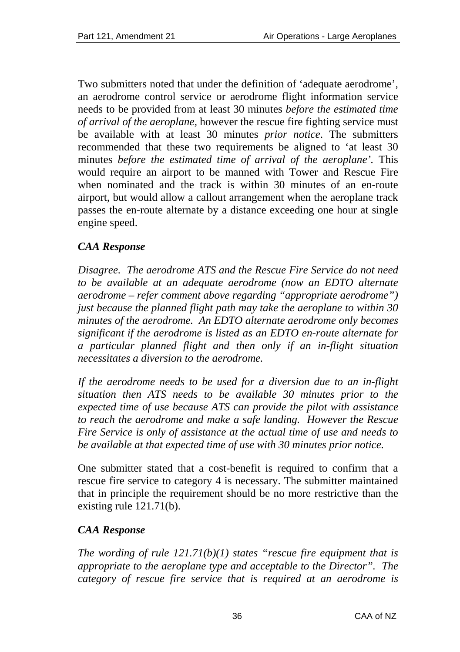Two submitters noted that under the definition of 'adequate aerodrome', an aerodrome control service or aerodrome flight information service needs to be provided from at least 30 minutes *before the estimated time of arrival of the aeroplane,* however the rescue fire fighting service must be available with at least 30 minutes *prior notice*. The submitters recommended that these two requirements be aligned to 'at least 30 minutes *before the estimated time of arrival of the aeroplane'.* This would require an airport to be manned with Tower and Rescue Fire when nominated and the track is within 30 minutes of an en-route airport, but would allow a callout arrangement when the aeroplane track passes the en-route alternate by a distance exceeding one hour at single engine speed.

## *CAA Response*

*Disagree. The aerodrome ATS and the Rescue Fire Service do not need to be available at an adequate aerodrome (now an EDTO alternate aerodrome – refer comment above regarding "appropriate aerodrome") just because the planned flight path may take the aeroplane to within 30 minutes of the aerodrome. An EDTO alternate aerodrome only becomes significant if the aerodrome is listed as an EDTO en-route alternate for a particular planned flight and then only if an in-flight situation necessitates a diversion to the aerodrome.* 

*If the aerodrome needs to be used for a diversion due to an in-flight situation then ATS needs to be available 30 minutes prior to the expected time of use because ATS can provide the pilot with assistance to reach the aerodrome and make a safe landing. However the Rescue Fire Service is only of assistance at the actual time of use and needs to be available at that expected time of use with 30 minutes prior notice.* 

One submitter stated that a cost-benefit is required to confirm that a rescue fire service to category 4 is necessary. The submitter maintained that in principle the requirement should be no more restrictive than the existing rule 121.71(b).

## *CAA Response*

*The wording of rule 121.71(b)(1) states "rescue fire equipment that is appropriate to the aeroplane type and acceptable to the Director". The category of rescue fire service that is required at an aerodrome is*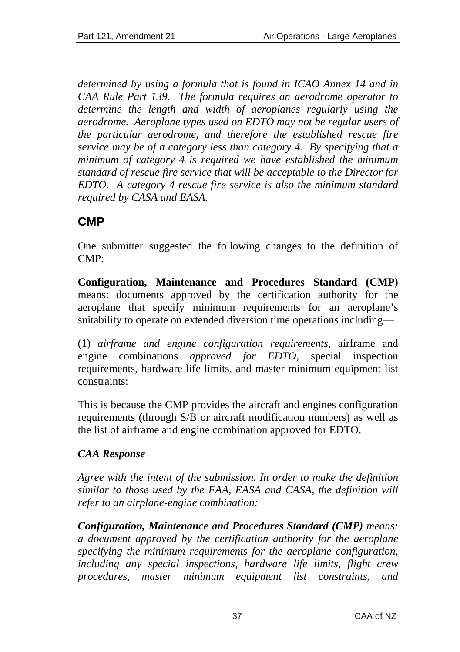*determined by using a formula that is found in ICAO Annex 14 and in CAA Rule Part 139. The formula requires an aerodrome operator to determine the length and width of aeroplanes regularly using the aerodrome. Aeroplane types used on EDTO may not be regular users of the particular aerodrome, and therefore the established rescue fire service may be of a category less than category 4. By specifying that a minimum of category 4 is required we have established the minimum standard of rescue fire service that will be acceptable to the Director for EDTO. A category 4 rescue fire service is also the minimum standard required by CASA and EASA.* 

# **CMP**

One submitter suggested the following changes to the definition of  $CMP$ 

**Configuration, Maintenance and Procedures Standard (CMP)** means: documents approved by the certification authority for the aeroplane that specify minimum requirements for an aeroplane's suitability to operate on extended diversion time operations including—

(1) *airframe and engine configuration requirements*, airframe and engine combinations *approved for EDTO,* special inspection requirements, hardware life limits, and master minimum equipment list constraints:

This is because the CMP provides the aircraft and engines configuration requirements (through S/B or aircraft modification numbers) as well as the list of airframe and engine combination approved for EDTO.

# *CAA Response*

*Agree with the intent of the submission. In order to make the definition similar to those used by the FAA, EASA and CASA, the definition will refer to an airplane-engine combination:* 

*Configuration, Maintenance and Procedures Standard (CMP) means: a document approved by the certification authority for the aeroplane specifying the minimum requirements for the aeroplane configuration, including any special inspections, hardware life limits, flight crew procedures, master minimum equipment list constraints, and*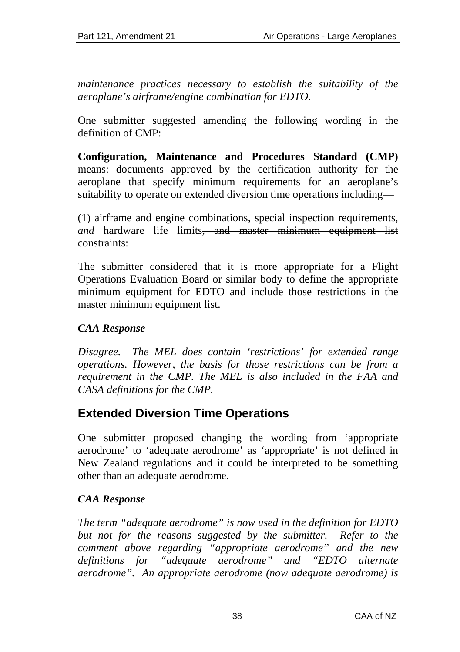*maintenance practices necessary to establish the suitability of the aeroplane's airframe/engine combination for EDTO.* 

One submitter suggested amending the following wording in the definition of CMP:

**Configuration, Maintenance and Procedures Standard (CMP)** means: documents approved by the certification authority for the aeroplane that specify minimum requirements for an aeroplane's suitability to operate on extended diversion time operations including—

(1) airframe and engine combinations, special inspection requirements, *and* hardware life limits<del>, and master minimum equipment list</del> constraints:

The submitter considered that it is more appropriate for a Flight Operations Evaluation Board or similar body to define the appropriate minimum equipment for EDTO and include those restrictions in the master minimum equipment list.

# *CAA Response*

*Disagree. The MEL does contain 'restrictions' for extended range operations. However, the basis for those restrictions can be from a requirement in the CMP. The MEL is also included in the FAA and CASA definitions for the CMP.* 

# **Extended Diversion Time Operations**

One submitter proposed changing the wording from 'appropriate aerodrome' to 'adequate aerodrome' as 'appropriate' is not defined in New Zealand regulations and it could be interpreted to be something other than an adequate aerodrome.

# *CAA Response*

*The term "adequate aerodrome" is now used in the definition for EDTO but not for the reasons suggested by the submitter. Refer to the comment above regarding "appropriate aerodrome" and the new definitions for "adequate aerodrome" and "EDTO alternate aerodrome". An appropriate aerodrome (now adequate aerodrome) is*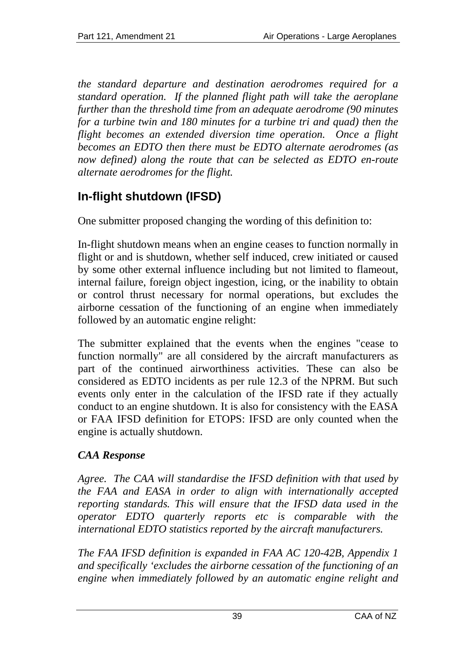*the standard departure and destination aerodromes required for a standard operation. If the planned flight path will take the aeroplane further than the threshold time from an adequate aerodrome (90 minutes for a turbine twin and 180 minutes for a turbine tri and quad) then the flight becomes an extended diversion time operation. Once a flight becomes an EDTO then there must be EDTO alternate aerodromes (as now defined) along the route that can be selected as EDTO en-route alternate aerodromes for the flight.* 

# **In-flight shutdown (IFSD)**

One submitter proposed changing the wording of this definition to:

In-flight shutdown means when an engine ceases to function normally in flight or and is shutdown, whether self induced, crew initiated or caused by some other external influence including but not limited to flameout, internal failure, foreign object ingestion, icing, or the inability to obtain or control thrust necessary for normal operations, but excludes the airborne cessation of the functioning of an engine when immediately followed by an automatic engine relight:

The submitter explained that the events when the engines "cease to function normally" are all considered by the aircraft manufacturers as part of the continued airworthiness activities. These can also be considered as EDTO incidents as per rule 12.3 of the NPRM. But such events only enter in the calculation of the IFSD rate if they actually conduct to an engine shutdown. It is also for consistency with the EASA or FAA IFSD definition for ETOPS: IFSD are only counted when the engine is actually shutdown.

# *CAA Response*

*Agree. The CAA will standardise the IFSD definition with that used by the FAA and EASA in order to align with internationally accepted reporting standards. This will ensure that the IFSD data used in the operator EDTO quarterly reports etc is comparable with the international EDTO statistics reported by the aircraft manufacturers.* 

*The FAA IFSD definition is expanded in FAA AC 120-42B, Appendix 1 and specifically 'excludes the airborne cessation of the functioning of an engine when immediately followed by an automatic engine relight and*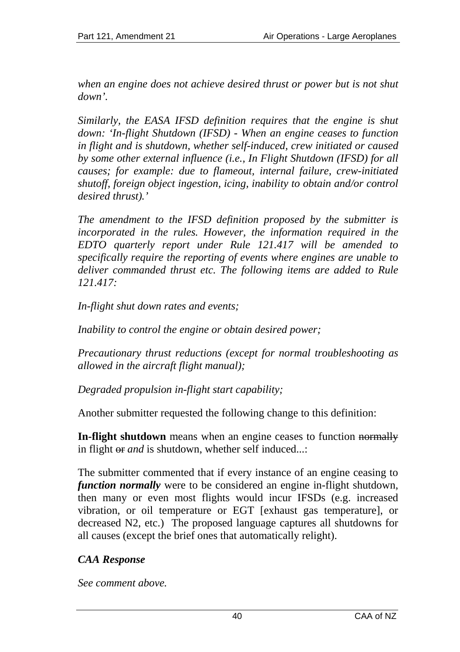*when an engine does not achieve desired thrust or power but is not shut down'.* 

*Similarly, the EASA IFSD definition requires that the engine is shut down: 'In-flight Shutdown (IFSD) - When an engine ceases to function in flight and is shutdown, whether self-induced, crew initiated or caused by some other external influence (i.e., In Flight Shutdown (IFSD) for all causes; for example: due to flameout, internal failure, crew-initiated shutoff, foreign object ingestion, icing, inability to obtain and/or control desired thrust).'* 

*The amendment to the IFSD definition proposed by the submitter is incorporated in the rules. However, the information required in the EDTO quarterly report under Rule 121.417 will be amended to specifically require the reporting of events where engines are unable to deliver commanded thrust etc. The following items are added to Rule 121.417:* 

*In-flight shut down rates and events;* 

*Inability to control the engine or obtain desired power;* 

*Precautionary thrust reductions (except for normal troubleshooting as allowed in the aircraft flight manual);* 

*Degraded propulsion in-flight start capability;* 

Another submitter requested the following change to this definition:

**In-flight shutdown** means when an engine ceases to function normally in flight or *and* is shutdown, whether self induced...:

The submitter commented that if every instance of an engine ceasing to *function normally* were to be considered an engine in-flight shutdown, then many or even most flights would incur IFSDs (e.g. increased vibration, or oil temperature or EGT [exhaust gas temperature], or decreased N2, etc.) The proposed language captures all shutdowns for all causes (except the brief ones that automatically relight).

# *CAA Response*

*See comment above.*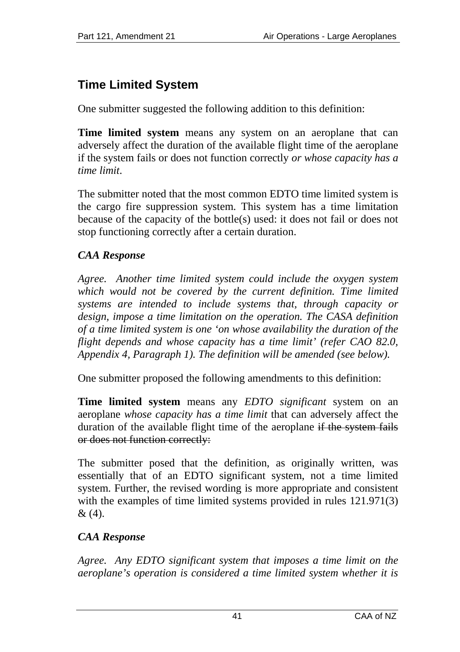# **Time Limited System**

One submitter suggested the following addition to this definition:

**Time limited system** means any system on an aeroplane that can adversely affect the duration of the available flight time of the aeroplane if the system fails or does not function correctly *or whose capacity has a time limit*.

The submitter noted that the most common EDTO time limited system is the cargo fire suppression system. This system has a time limitation because of the capacity of the bottle(s) used: it does not fail or does not stop functioning correctly after a certain duration.

# *CAA Response*

*Agree. Another time limited system could include the oxygen system which would not be covered by the current definition. Time limited systems are intended to include systems that, through capacity or design, impose a time limitation on the operation. The CASA definition of a time limited system is one 'on whose availability the duration of the flight depends and whose capacity has a time limit' (refer CAO 82.0, Appendix 4, Paragraph 1). The definition will be amended (see below).* 

One submitter proposed the following amendments to this definition:

**Time limited system** means any *EDTO significant* system on an aeroplane *whose capacity has a time limit* that can adversely affect the duration of the available flight time of the aeroplane if the system fails or does not function correctly:

The submitter posed that the definition, as originally written, was essentially that of an EDTO significant system, not a time limited system. Further, the revised wording is more appropriate and consistent with the examples of time limited systems provided in rules  $121.971(3)$ & (4).

# *CAA Response*

*Agree. Any EDTO significant system that imposes a time limit on the aeroplane's operation is considered a time limited system whether it is*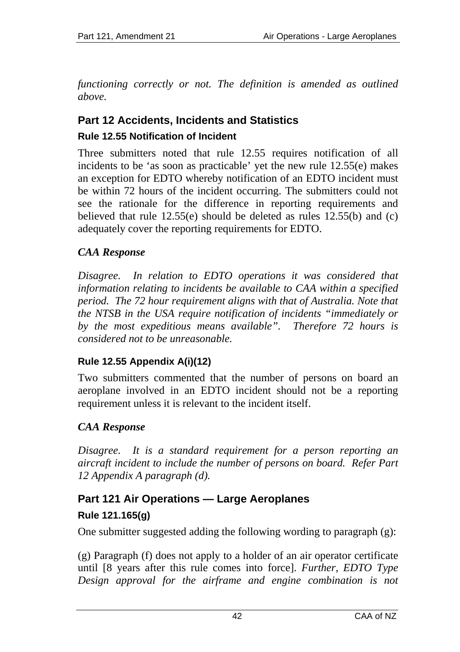*functioning correctly or not. The definition is amended as outlined above.* 

# **Part 12 Accidents, Incidents and Statistics Rule 12.55 Notification of Incident**

Three submitters noted that rule 12.55 requires notification of all incidents to be 'as soon as practicable' yet the new rule 12.55(e) makes an exception for EDTO whereby notification of an EDTO incident must be within 72 hours of the incident occurring. The submitters could not see the rationale for the difference in reporting requirements and believed that rule 12.55(e) should be deleted as rules 12.55(b) and (c) adequately cover the reporting requirements for EDTO.

# *CAA Response*

*Disagree. In relation to EDTO operations it was considered that information relating to incidents be available to CAA within a specified period. The 72 hour requirement aligns with that of Australia. Note that the NTSB in the USA require notification of incidents "immediately or by the most expeditious means available". Therefore 72 hours is considered not to be unreasonable.* 

#### **Rule 12.55 Appendix A(i)(12)**

Two submitters commented that the number of persons on board an aeroplane involved in an EDTO incident should not be a reporting requirement unless it is relevant to the incident itself.

# *CAA Response*

*Disagree. It is a standard requirement for a person reporting an aircraft incident to include the number of persons on board. Refer Part 12 Appendix A paragraph (d).* 

# **Part 121 Air Operations — Large Aeroplanes**

# **Rule 121.165(g)**

One submitter suggested adding the following wording to paragraph (g):

(g) Paragraph (f) does not apply to a holder of an air operator certificate until [8 years after this rule comes into force]. *Further, EDTO Type Design approval for the airframe and engine combination is not*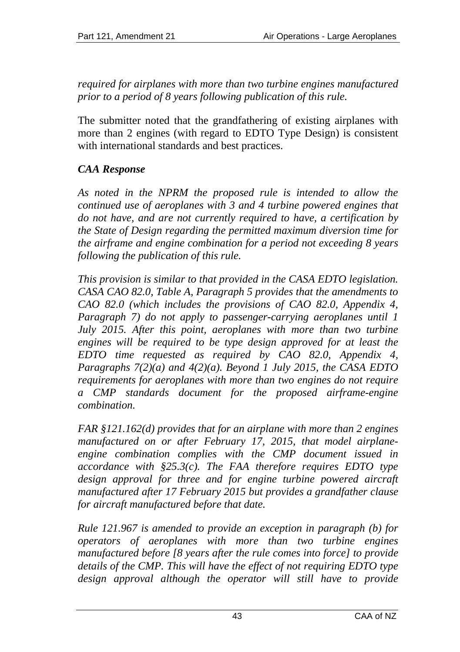*required for airplanes with more than two turbine engines manufactured prior to a period of 8 years following publication of this rule.*

The submitter noted that the grandfathering of existing airplanes with more than 2 engines (with regard to EDTO Type Design) is consistent with international standards and best practices.

# *CAA Response*

*As noted in the NPRM the proposed rule is intended to allow the continued use of aeroplanes with 3 and 4 turbine powered engines that do not have, and are not currently required to have, a certification by the State of Design regarding the permitted maximum diversion time for the airframe and engine combination for a period not exceeding 8 years following the publication of this rule.* 

*This provision is similar to that provided in the CASA EDTO legislation. CASA CAO 82.0, Table A, Paragraph 5 provides that the amendments to CAO 82.0 (which includes the provisions of CAO 82.0, Appendix 4, Paragraph 7) do not apply to passenger-carrying aeroplanes until 1 July 2015. After this point, aeroplanes with more than two turbine engines will be required to be type design approved for at least the EDTO time requested as required by CAO 82.0, Appendix 4, Paragraphs 7(2)(a) and 4(2)(a). Beyond 1 July 2015, the CASA EDTO requirements for aeroplanes with more than two engines do not require a CMP standards document for the proposed airframe-engine combination.* 

*FAR §121.162(d) provides that for an airplane with more than 2 engines manufactured on or after February 17, 2015, that model airplaneengine combination complies with the CMP document issued in accordance with §25.3(c). The FAA therefore requires EDTO type design approval for three and for engine turbine powered aircraft manufactured after 17 February 2015 but provides a grandfather clause for aircraft manufactured before that date.* 

*Rule 121.967 is amended to provide an exception in paragraph (b) for operators of aeroplanes with more than two turbine engines manufactured before [8 years after the rule comes into force] to provide details of the CMP. This will have the effect of not requiring EDTO type design approval although the operator will still have to provide*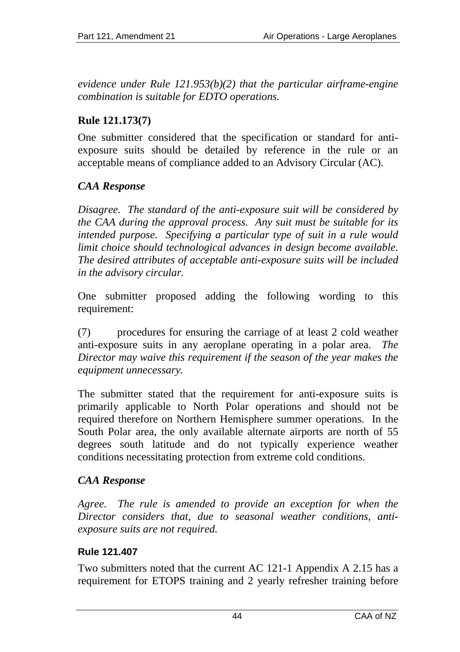*evidence under Rule 121.953(b)(2) that the particular airframe-engine combination is suitable for EDTO operations.* 

# **Rule 121.173(7)**

One submitter considered that the specification or standard for antiexposure suits should be detailed by reference in the rule or an acceptable means of compliance added to an Advisory Circular (AC).

# *CAA Response*

*Disagree. The standard of the anti-exposure suit will be considered by the CAA during the approval process. Any suit must be suitable for its intended purpose. Specifying a particular type of suit in a rule would limit choice should technological advances in design become available. The desired attributes of acceptable anti-exposure suits will be included in the advisory circular.* 

One submitter proposed adding the following wording to this requirement:

(7) procedures for ensuring the carriage of at least 2 cold weather anti-exposure suits in any aeroplane operating in a polar area. *The Director may waive this requirement if the season of the year makes the equipment unnecessary.* 

The submitter stated that the requirement for anti-exposure suits is primarily applicable to North Polar operations and should not be required therefore on Northern Hemisphere summer operations. In the South Polar area, the only available alternate airports are north of 55 degrees south latitude and do not typically experience weather conditions necessitating protection from extreme cold conditions.

# *CAA Response*

*Agree. The rule is amended to provide an exception for when the Director considers that, due to seasonal weather conditions, antiexposure suits are not required.* 

#### **Rule 121.407**

Two submitters noted that the current AC 121-1 Appendix A 2.15 has a requirement for ETOPS training and 2 yearly refresher training before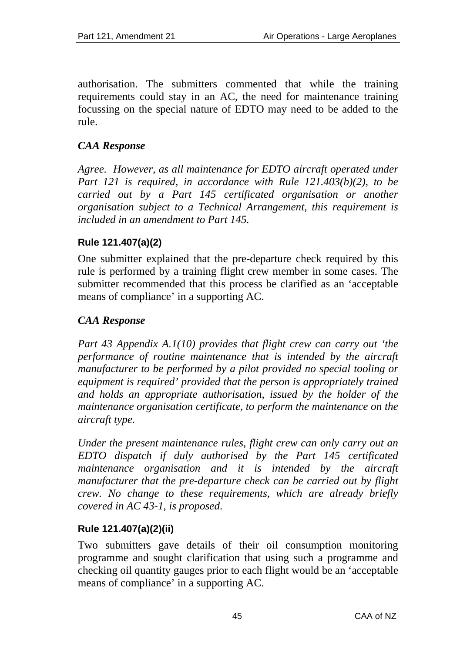authorisation. The submitters commented that while the training requirements could stay in an AC, the need for maintenance training focussing on the special nature of EDTO may need to be added to the rule.

# *CAA Response*

*Agree. However, as all maintenance for EDTO aircraft operated under Part 121 is required, in accordance with Rule 121.403(b)(2), to be carried out by a Part 145 certificated organisation or another organisation subject to a Technical Arrangement, this requirement is included in an amendment to Part 145.* 

# **Rule 121.407(a)(2)**

One submitter explained that the pre-departure check required by this rule is performed by a training flight crew member in some cases. The submitter recommended that this process be clarified as an 'acceptable means of compliance' in a supporting AC.

# *CAA Response*

*Part 43 Appendix A.1(10) provides that flight crew can carry out 'the performance of routine maintenance that is intended by the aircraft manufacturer to be performed by a pilot provided no special tooling or equipment is required' provided that the person is appropriately trained and holds an appropriate authorisation, issued by the holder of the maintenance organisation certificate, to perform the maintenance on the aircraft type.* 

*Under the present maintenance rules, flight crew can only carry out an EDTO dispatch if duly authorised by the Part 145 certificated maintenance organisation and it is intended by the aircraft manufacturer that the pre-departure check can be carried out by flight crew. No change to these requirements, which are already briefly covered in AC 43-1, is proposed*.

# **Rule 121.407(a)(2)(ii)**

Two submitters gave details of their oil consumption monitoring programme and sought clarification that using such a programme and checking oil quantity gauges prior to each flight would be an 'acceptable means of compliance' in a supporting AC.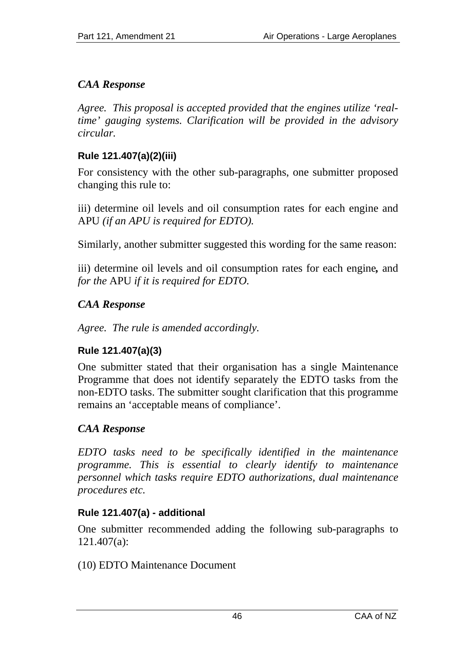# *CAA Response*

*Agree. This proposal is accepted provided that the engines utilize 'realtime' gauging systems. Clarification will be provided in the advisory circular.* 

### **Rule 121.407(a)(2)(iii)**

For consistency with the other sub-paragraphs, one submitter proposed changing this rule to:

iii) determine oil levels and oil consumption rates for each engine and APU *(if an APU is required for EDTO).* 

Similarly, another submitter suggested this wording for the same reason:

iii) determine oil levels and oil consumption rates for each engine*,* and *for the* APU *if it is required for EDTO.* 

# *CAA Response*

*Agree. The rule is amended accordingly.* 

# **Rule 121.407(a)(3)**

One submitter stated that their organisation has a single Maintenance Programme that does not identify separately the EDTO tasks from the non-EDTO tasks. The submitter sought clarification that this programme remains an 'acceptable means of compliance'.

# *CAA Response*

*EDTO tasks need to be specifically identified in the maintenance programme. This is essential to clearly identify to maintenance personnel which tasks require EDTO authorizations, dual maintenance procedures etc.* 

#### **Rule 121.407(a) - additional**

One submitter recommended adding the following sub-paragraphs to 121.407(a):

(10) EDTO Maintenance Document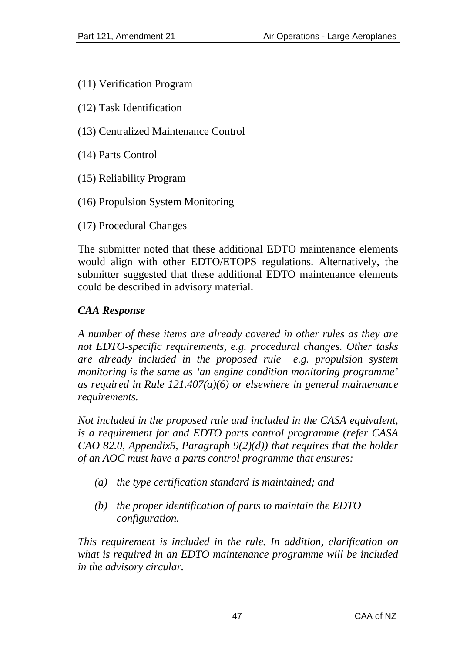- (11) Verification Program
- (12) Task Identification
- (13) Centralized Maintenance Control
- (14) Parts Control
- (15) Reliability Program
- (16) Propulsion System Monitoring
- (17) Procedural Changes

The submitter noted that these additional EDTO maintenance elements would align with other EDTO/ETOPS regulations. Alternatively, the submitter suggested that these additional EDTO maintenance elements could be described in advisory material.

#### *CAA Response*

*A number of these items are already covered in other rules as they are not EDTO-specific requirements, e.g. procedural changes. Other tasks are already included in the proposed rule e.g. propulsion system monitoring is the same as 'an engine condition monitoring programme' as required in Rule 121.407(a)(6) or elsewhere in general maintenance requirements.* 

*Not included in the proposed rule and included in the CASA equivalent, is a requirement for and EDTO parts control programme (refer CASA CAO 82.0, Appendix5, Paragraph 9(2)(d)) that requires that the holder of an AOC must have a parts control programme that ensures:* 

- *(a) the type certification standard is maintained; and*
- *(b) the proper identification of parts to maintain the EDTO configuration.*

*This requirement is included in the rule. In addition, clarification on what is required in an EDTO maintenance programme will be included in the advisory circular.*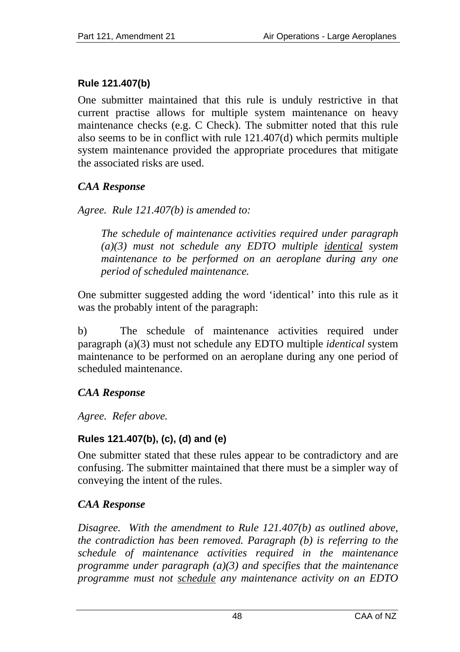### **Rule 121.407(b)**

One submitter maintained that this rule is unduly restrictive in that current practise allows for multiple system maintenance on heavy maintenance checks (e.g. C Check). The submitter noted that this rule also seems to be in conflict with rule 121.407(d) which permits multiple system maintenance provided the appropriate procedures that mitigate the associated risks are used.

# *CAA Response*

*Agree. Rule 121.407(b) is amended to:* 

*The schedule of maintenance activities required under paragraph (a)(3) must not schedule any EDTO multiple identical system maintenance to be performed on an aeroplane during any one period of scheduled maintenance.* 

One submitter suggested adding the word 'identical' into this rule as it was the probably intent of the paragraph:

b) The schedule of maintenance activities required under paragraph (a)(3) must not schedule any EDTO multiple *identical* system maintenance to be performed on an aeroplane during any one period of scheduled maintenance.

# *CAA Response*

*Agree. Refer above.* 

#### **Rules 121.407(b), (c), (d) and (e)**

One submitter stated that these rules appear to be contradictory and are confusing. The submitter maintained that there must be a simpler way of conveying the intent of the rules.

# *CAA Response*

*Disagree. With the amendment to Rule 121.407(b) as outlined above, the contradiction has been removed. Paragraph (b) is referring to the schedule of maintenance activities required in the maintenance programme under paragraph (a)(3) and specifies that the maintenance programme must not schedule any maintenance activity on an EDTO*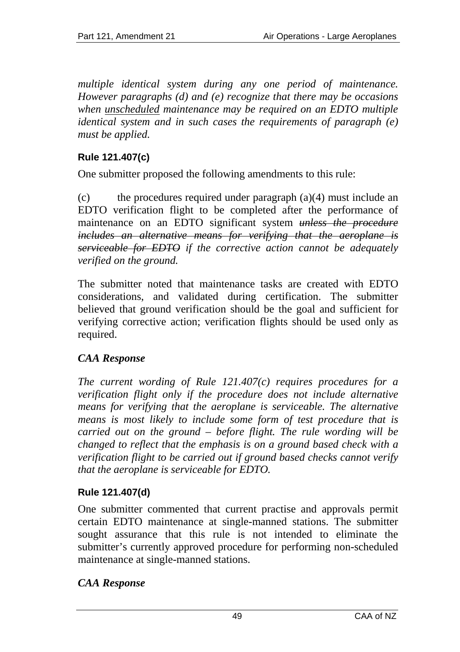*multiple identical system during any one period of maintenance. However paragraphs (d) and (e) recognize that there may be occasions when unscheduled maintenance may be required on an EDTO multiple identical system and in such cases the requirements of paragraph (e) must be applied.* 

### **Rule 121.407(c)**

One submitter proposed the following amendments to this rule:

(c) the procedures required under paragraph (a)(4) must include an EDTO verification flight to be completed after the performance of maintenance on an EDTO significant system *unless the procedure includes an alternative means for verifying that the aeroplane is serviceable for EDTO if the corrective action cannot be adequately verified on the ground.*

The submitter noted that maintenance tasks are created with EDTO considerations, and validated during certification. The submitter believed that ground verification should be the goal and sufficient for verifying corrective action; verification flights should be used only as required.

#### *CAA Response*

*The current wording of Rule 121.407(c) requires procedures for a verification flight only if the procedure does not include alternative means for verifying that the aeroplane is serviceable. The alternative means is most likely to include some form of test procedure that is carried out on the ground – before flight. The rule wording will be changed to reflect that the emphasis is on a ground based check with a verification flight to be carried out if ground based checks cannot verify that the aeroplane is serviceable for EDTO.* 

# **Rule 121.407(d)**

One submitter commented that current practise and approvals permit certain EDTO maintenance at single-manned stations. The submitter sought assurance that this rule is not intended to eliminate the submitter's currently approved procedure for performing non-scheduled maintenance at single-manned stations.

#### *CAA Response*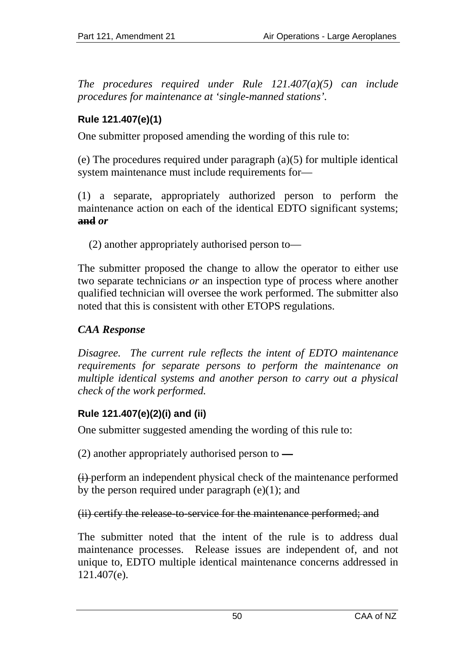*The procedures required under Rule 121.407(a)(5) can include procedures for maintenance at 'single-manned stations'.* 

# **Rule 121.407(e)(1)**

One submitter proposed amending the wording of this rule to:

(e) The procedures required under paragraph (a)(5) for multiple identical system maintenance must include requirements for—

(1) a separate, appropriately authorized person to perform the maintenance action on each of the identical EDTO significant systems; **and** *or*

(2) another appropriately authorised person to—

The submitter proposed the change to allow the operator to either use two separate technicians *or* an inspection type of process where another qualified technician will oversee the work performed. The submitter also noted that this is consistent with other ETOPS regulations.

# *CAA Response*

*Disagree. The current rule reflects the intent of EDTO maintenance requirements for separate persons to perform the maintenance on multiple identical systems and another person to carry out a physical check of the work performed.* 

# **Rule 121.407(e)(2)(i) and (ii)**

One submitter suggested amending the wording of this rule to:

(2) another appropriately authorised person to —

(i) perform an independent physical check of the maintenance performed by the person required under paragraph  $(e)(1)$ ; and

#### (ii) certify the release to service for the maintenance performed; and

The submitter noted that the intent of the rule is to address dual maintenance processes. Release issues are independent of, and not unique to, EDTO multiple identical maintenance concerns addressed in 121.407(e).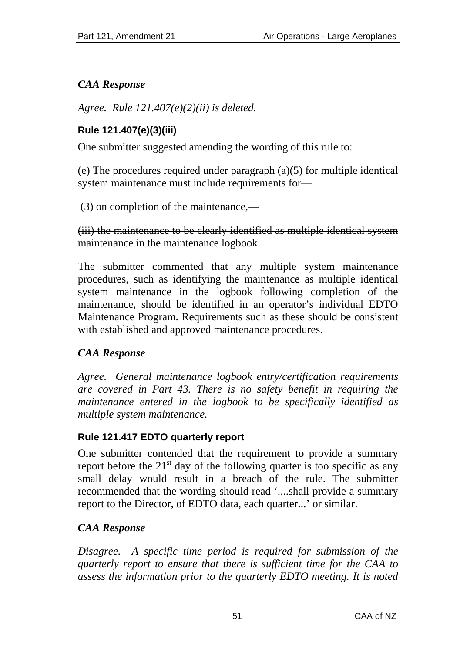# *CAA Response*

*Agree. Rule 121.407(e)(2)(ii) is deleted.* 

#### **Rule 121.407(e)(3)(iii)**

One submitter suggested amending the wording of this rule to:

(e) The procedures required under paragraph (a)(5) for multiple identical system maintenance must include requirements for—

(3) on completion of the maintenance,—

#### (iii) the maintenance to be clearly identified as multiple identical system maintenance in the maintenance logbook.

The submitter commented that any multiple system maintenance procedures, such as identifying the maintenance as multiple identical system maintenance in the logbook following completion of the maintenance, should be identified in an operator's individual EDTO Maintenance Program. Requirements such as these should be consistent with established and approved maintenance procedures.

# *CAA Response*

*Agree. General maintenance logbook entry/certification requirements are covered in Part 43. There is no safety benefit in requiring the maintenance entered in the logbook to be specifically identified as multiple system maintenance.* 

# **Rule 121.417 EDTO quarterly report**

One submitter contended that the requirement to provide a summary report before the  $21<sup>st</sup>$  day of the following quarter is too specific as any small delay would result in a breach of the rule. The submitter recommended that the wording should read '....shall provide a summary report to the Director, of EDTO data, each quarter...' or similar.

# *CAA Response*

*Disagree. A specific time period is required for submission of the quarterly report to ensure that there is sufficient time for the CAA to assess the information prior to the quarterly EDTO meeting. It is noted*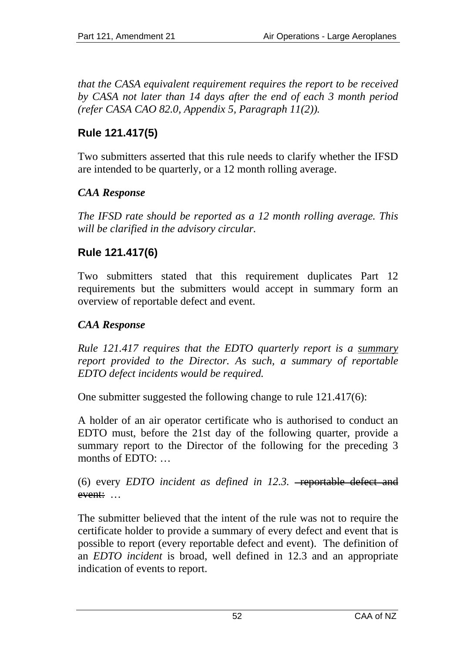*that the CASA equivalent requirement requires the report to be received by CASA not later than 14 days after the end of each 3 month period (refer CASA CAO 82.0, Appendix 5, Paragraph 11(2)).* 

# **Rule 121.417(5)**

Two submitters asserted that this rule needs to clarify whether the IFSD are intended to be quarterly, or a 12 month rolling average.

### *CAA Response*

*The IFSD rate should be reported as a 12 month rolling average. This will be clarified in the advisory circular.* 

# **Rule 121.417(6)**

Two submitters stated that this requirement duplicates Part 12 requirements but the submitters would accept in summary form an overview of reportable defect and event.

### *CAA Response*

*Rule 121.417 requires that the EDTO quarterly report is a summary report provided to the Director. As such, a summary of reportable EDTO defect incidents would be required.* 

One submitter suggested the following change to rule 121.417(6):

A holder of an air operator certificate who is authorised to conduct an EDTO must, before the 21st day of the following quarter, provide a summary report to the Director of the following for the preceding 3 months of EDTO: …

(6) every *EDTO* incident as defined in 12.3. - reportable defect and event:…

The submitter believed that the intent of the rule was not to require the certificate holder to provide a summary of every defect and event that is possible to report (every reportable defect and event). The definition of an *EDTO incident* is broad, well defined in 12.3 and an appropriate indication of events to report.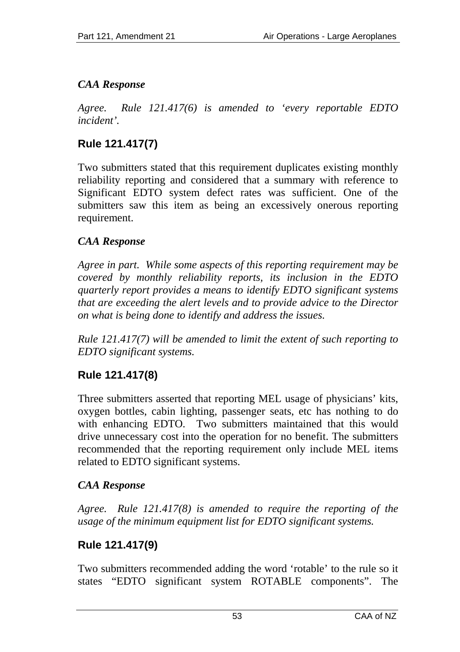# *CAA Response*

*Agree. Rule 121.417(6) is amended to 'every reportable EDTO incident'.* 

# **Rule 121.417(7)**

Two submitters stated that this requirement duplicates existing monthly reliability reporting and considered that a summary with reference to Significant EDTO system defect rates was sufficient. One of the submitters saw this item as being an excessively onerous reporting requirement.

# *CAA Response*

*Agree in part. While some aspects of this reporting requirement may be covered by monthly reliability reports, its inclusion in the EDTO quarterly report provides a means to identify EDTO significant systems that are exceeding the alert levels and to provide advice to the Director on what is being done to identify and address the issues.* 

*Rule 121.417(7) will be amended to limit the extent of such reporting to EDTO significant systems.* 

# **Rule 121.417(8)**

Three submitters asserted that reporting MEL usage of physicians' kits, oxygen bottles, cabin lighting, passenger seats, etc has nothing to do with enhancing EDTO. Two submitters maintained that this would drive unnecessary cost into the operation for no benefit. The submitters recommended that the reporting requirement only include MEL items related to EDTO significant systems.

# *CAA Response*

*Agree. Rule 121.417(8) is amended to require the reporting of the usage of the minimum equipment list for EDTO significant systems.* 

# **Rule 121.417(9)**

Two submitters recommended adding the word 'rotable' to the rule so it states "EDTO significant system ROTABLE components". The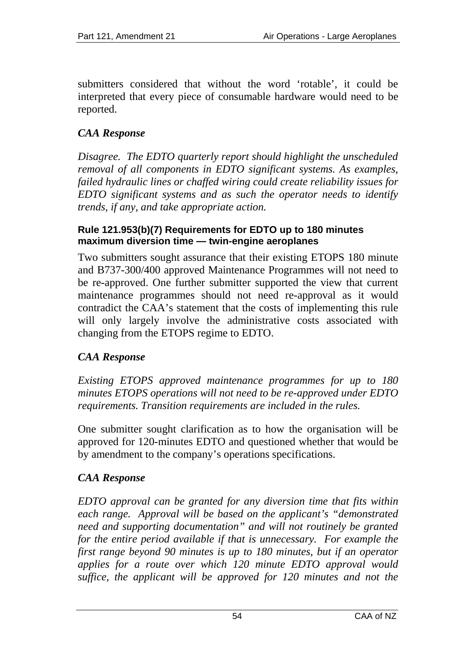submitters considered that without the word 'rotable', it could be interpreted that every piece of consumable hardware would need to be reported.

# *CAA Response*

*Disagree. The EDTO quarterly report should highlight the unscheduled removal of all components in EDTO significant systems. As examples, failed hydraulic lines or chaffed wiring could create reliability issues for EDTO significant systems and as such the operator needs to identify trends, if any, and take appropriate action.* 

#### **Rule 121.953(b)(7) Requirements for EDTO up to 180 minutes maximum diversion time — twin-engine aeroplanes**

Two submitters sought assurance that their existing ETOPS 180 minute and B737-300/400 approved Maintenance Programmes will not need to be re-approved. One further submitter supported the view that current maintenance programmes should not need re-approval as it would contradict the CAA's statement that the costs of implementing this rule will only largely involve the administrative costs associated with changing from the ETOPS regime to EDTO.

# *CAA Response*

*Existing ETOPS approved maintenance programmes for up to 180 minutes ETOPS operations will not need to be re-approved under EDTO requirements. Transition requirements are included in the rules.* 

One submitter sought clarification as to how the organisation will be approved for 120-minutes EDTO and questioned whether that would be by amendment to the company's operations specifications.

# *CAA Response*

*EDTO approval can be granted for any diversion time that fits within each range. Approval will be based on the applicant's "demonstrated need and supporting documentation" and will not routinely be granted for the entire period available if that is unnecessary. For example the first range beyond 90 minutes is up to 180 minutes, but if an operator applies for a route over which 120 minute EDTO approval would suffice, the applicant will be approved for 120 minutes and not the*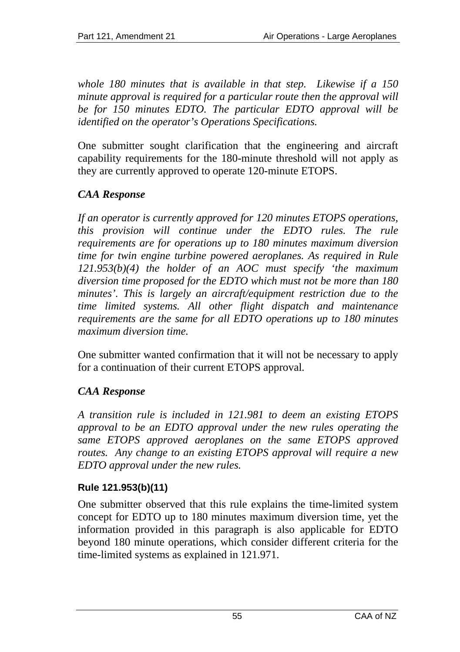*whole 180 minutes that is available in that step. Likewise if a 150 minute approval is required for a particular route then the approval will be for 150 minutes EDTO. The particular EDTO approval will be identified on the operator's Operations Specifications.* 

One submitter sought clarification that the engineering and aircraft capability requirements for the 180-minute threshold will not apply as they are currently approved to operate 120-minute ETOPS.

# *CAA Response*

*If an operator is currently approved for 120 minutes ETOPS operations, this provision will continue under the EDTO rules. The rule requirements are for operations up to 180 minutes maximum diversion time for twin engine turbine powered aeroplanes. As required in Rule 121.953(b)(4) the holder of an AOC must specify 'the maximum diversion time proposed for the EDTO which must not be more than 180 minutes'. This is largely an aircraft/equipment restriction due to the time limited systems. All other flight dispatch and maintenance requirements are the same for all EDTO operations up to 180 minutes maximum diversion time.* 

One submitter wanted confirmation that it will not be necessary to apply for a continuation of their current ETOPS approval.

# *CAA Response*

*A transition rule is included in 121.981 to deem an existing ETOPS approval to be an EDTO approval under the new rules operating the same ETOPS approved aeroplanes on the same ETOPS approved routes. Any change to an existing ETOPS approval will require a new EDTO approval under the new rules.* 

#### **Rule 121.953(b)(11)**

One submitter observed that this rule explains the time-limited system concept for EDTO up to 180 minutes maximum diversion time, yet the information provided in this paragraph is also applicable for EDTO beyond 180 minute operations, which consider different criteria for the time-limited systems as explained in 121.971.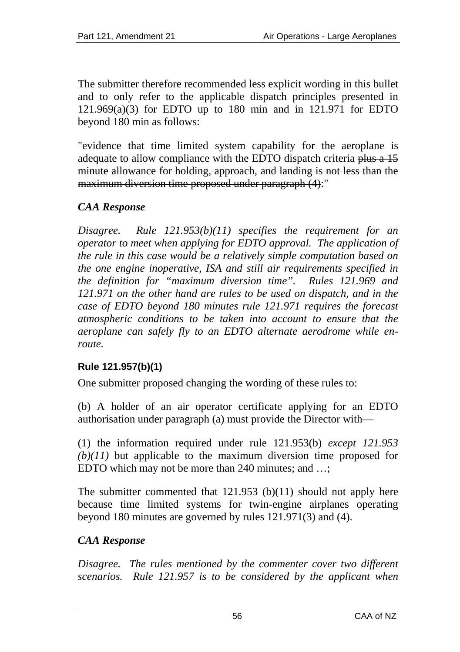The submitter therefore recommended less explicit wording in this bullet and to only refer to the applicable dispatch principles presented in 121.969(a)(3) for EDTO up to 180 min and in 121.971 for EDTO beyond 180 min as follows:

"evidence that time limited system capability for the aeroplane is adequate to allow compliance with the EDTO dispatch criteria plus a 15 minute allowance for holding, approach, and landing is not less than the maximum diversion time proposed under paragraph (4):"

# *CAA Response*

*Disagree. Rule 121.953(b)(11) specifies the requirement for an operator to meet when applying for EDTO approval. The application of the rule in this case would be a relatively simple computation based on the one engine inoperative, ISA and still air requirements specified in the definition for "maximum diversion time". Rules 121.969 and 121.971 on the other hand are rules to be used on dispatch, and in the case of EDTO beyond 180 minutes rule 121.971 requires the forecast atmospheric conditions to be taken into account to ensure that the aeroplane can safely fly to an EDTO alternate aerodrome while enroute.* 

#### **Rule 121.957(b)(1)**

One submitter proposed changing the wording of these rules to:

(b) A holder of an air operator certificate applying for an EDTO authorisation under paragraph (a) must provide the Director with—

(1) the information required under rule 121.953(b) *except 121.953 (b)(11)* but applicable to the maximum diversion time proposed for EDTO which may not be more than 240 minutes; and ...;

The submitter commented that 121.953 (b)(11) should not apply here because time limited systems for twin-engine airplanes operating beyond 180 minutes are governed by rules 121.971(3) and (4).

# *CAA Response*

*Disagree. The rules mentioned by the commenter cover two different scenarios. Rule 121.957 is to be considered by the applicant when*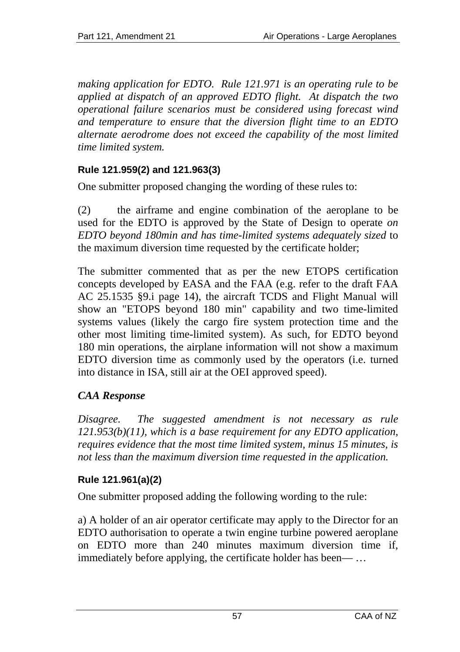*making application for EDTO. Rule 121.971 is an operating rule to be applied at dispatch of an approved EDTO flight. At dispatch the two operational failure scenarios must be considered using forecast wind and temperature to ensure that the diversion flight time to an EDTO alternate aerodrome does not exceed the capability of the most limited time limited system.* 

### **Rule 121.959(2) and 121.963(3)**

One submitter proposed changing the wording of these rules to:

(2) the airframe and engine combination of the aeroplane to be used for the EDTO is approved by the State of Design to operate *on EDTO beyond 180min and has time-limited systems adequately sized* to the maximum diversion time requested by the certificate holder;

The submitter commented that as per the new ETOPS certification concepts developed by EASA and the FAA (e.g. refer to the draft FAA AC 25.1535 §9.i page 14), the aircraft TCDS and Flight Manual will show an "ETOPS beyond 180 min" capability and two time-limited systems values (likely the cargo fire system protection time and the other most limiting time-limited system). As such, for EDTO beyond 180 min operations, the airplane information will not show a maximum EDTO diversion time as commonly used by the operators (i.e. turned into distance in ISA, still air at the OEI approved speed).

# *CAA Response*

*Disagree. The suggested amendment is not necessary as rule 121.953(b)(11), which is a base requirement for any EDTO application, requires evidence that the most time limited system, minus 15 minutes, is not less than the maximum diversion time requested in the application.* 

# **Rule 121.961(a)(2)**

One submitter proposed adding the following wording to the rule:

a) A holder of an air operator certificate may apply to the Director for an EDTO authorisation to operate a twin engine turbine powered aeroplane on EDTO more than 240 minutes maximum diversion time if, immediately before applying, the certificate holder has been— …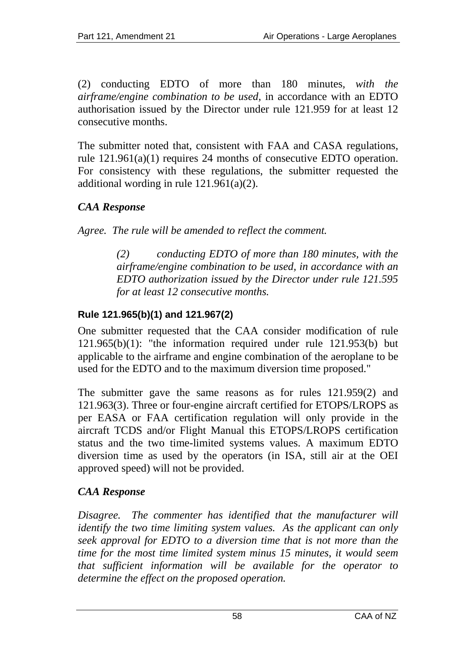(2) conducting EDTO of more than 180 minutes*, with the airframe/engine combination to be used,* in accordance with an EDTO authorisation issued by the Director under rule 121.959 for at least 12 consecutive months.

The submitter noted that, consistent with FAA and CASA regulations, rule 121.961(a)(1) requires 24 months of consecutive EDTO operation. For consistency with these regulations, the submitter requested the additional wording in rule 121.961(a)(2).

# *CAA Response*

*Agree. The rule will be amended to reflect the comment.* 

*(2) conducting EDTO of more than 180 minutes, with the airframe/engine combination to be used, in accordance with an EDTO authorization issued by the Director under rule 121.595 for at least 12 consecutive months.* 

# **Rule 121.965(b)(1) and 121.967(2)**

One submitter requested that the CAA consider modification of rule 121.965(b)(1): "the information required under rule 121.953(b) but applicable to the airframe and engine combination of the aeroplane to be used for the EDTO and to the maximum diversion time proposed."

The submitter gave the same reasons as for rules 121.959(2) and 121.963(3). Three or four-engine aircraft certified for ETOPS/LROPS as per EASA or FAA certification regulation will only provide in the aircraft TCDS and/or Flight Manual this ETOPS/LROPS certification status and the two time-limited systems values. A maximum EDTO diversion time as used by the operators (in ISA, still air at the OEI approved speed) will not be provided.

# *CAA Response*

*Disagree.* The commenter has identified that the manufacturer will *identify the two time limiting system values. As the applicant can only seek approval for EDTO to a diversion time that is not more than the time for the most time limited system minus 15 minutes, it would seem that sufficient information will be available for the operator to determine the effect on the proposed operation.*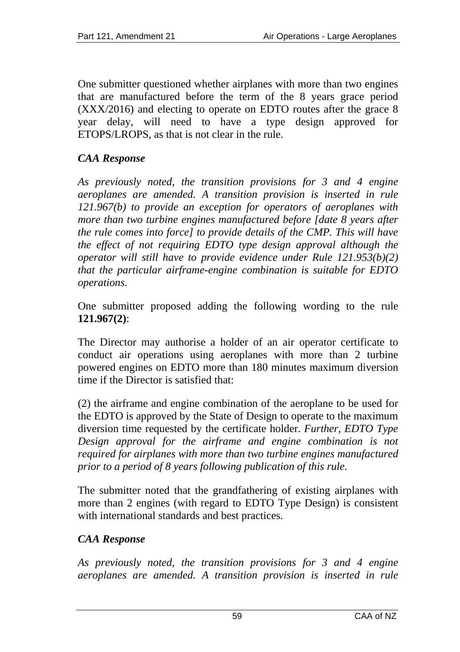One submitter questioned whether airplanes with more than two engines that are manufactured before the term of the 8 years grace period (XXX/2016) and electing to operate on EDTO routes after the grace 8 year delay, will need to have a type design approved for ETOPS/LROPS, as that is not clear in the rule.

### *CAA Response*

*As previously noted, the transition provisions for 3 and 4 engine aeroplanes are amended. A transition provision is inserted in rule 121.967(b) to provide an exception for operators of aeroplanes with more than two turbine engines manufactured before [date 8 years after the rule comes into force] to provide details of the CMP. This will have the effect of not requiring EDTO type design approval although the operator will still have to provide evidence under Rule 121.953(b)(2) that the particular airframe-engine combination is suitable for EDTO operations.* 

One submitter proposed adding the following wording to the rule **121.967(2)**:

The Director may authorise a holder of an air operator certificate to conduct air operations using aeroplanes with more than 2 turbine powered engines on EDTO more than 180 minutes maximum diversion time if the Director is satisfied that:

(2) the airframe and engine combination of the aeroplane to be used for the EDTO is approved by the State of Design to operate to the maximum diversion time requested by the certificate holder. *Further, EDTO Type Design approval for the airframe and engine combination is not required for airplanes with more than two turbine engines manufactured prior to a period of 8 years following publication of this rule.*

The submitter noted that the grandfathering of existing airplanes with more than 2 engines (with regard to EDTO Type Design) is consistent with international standards and best practices.

#### *CAA Response*

*As previously noted, the transition provisions for 3 and 4 engine aeroplanes are amended. A transition provision is inserted in rule*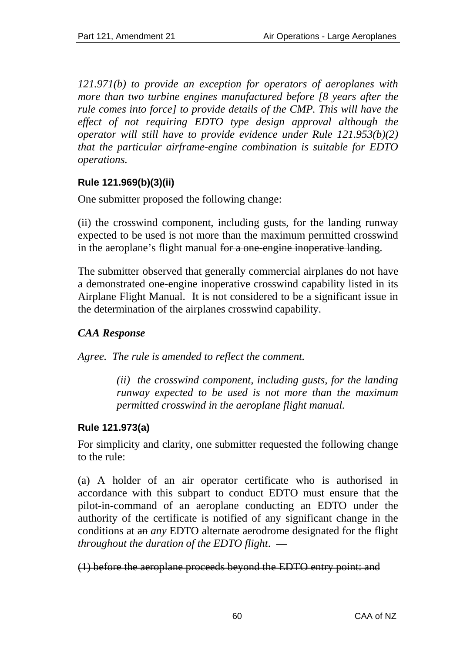*121.971(b) to provide an exception for operators of aeroplanes with more than two turbine engines manufactured before [8 years after the rule comes into force] to provide details of the CMP. This will have the effect of not requiring EDTO type design approval although the operator will still have to provide evidence under Rule 121.953(b)(2) that the particular airframe-engine combination is suitable for EDTO operations.* 

### **Rule 121.969(b)(3)(ii)**

One submitter proposed the following change:

(ii) the crosswind component, including gusts, for the landing runway expected to be used is not more than the maximum permitted crosswind in the aeroplane's flight manual for a one-engine inoperative landing.

The submitter observed that generally commercial airplanes do not have a demonstrated one-engine inoperative crosswind capability listed in its Airplane Flight Manual. It is not considered to be a significant issue in the determination of the airplanes crosswind capability.

# *CAA Response*

*Agree. The rule is amended to reflect the comment.* 

*(ii) the crosswind component, including gusts, for the landing runway expected to be used is not more than the maximum permitted crosswind in the aeroplane flight manual.* 

# **Rule 121.973(a)**

For simplicity and clarity, one submitter requested the following change to the rule:

(a) A holder of an air operator certificate who is authorised in accordance with this subpart to conduct EDTO must ensure that the pilot-in-command of an aeroplane conducting an EDTO under the authority of the certificate is notified of any significant change in the conditions at an *any* EDTO alternate aerodrome designated for the flight *throughout the duration of the EDTO flight*. **—**

# (1) before the aeroplane proceeds beyond the EDTO entry point: and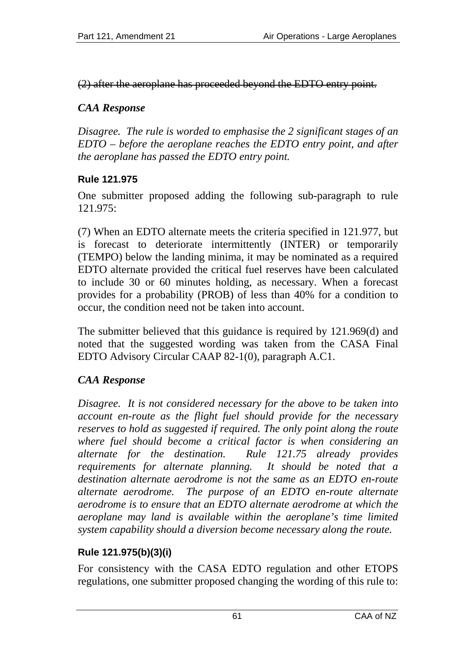(2) after the aeroplane has proceeded beyond the EDTO entry point.

### *CAA Response*

*Disagree. The rule is worded to emphasise the 2 significant stages of an EDTO – before the aeroplane reaches the EDTO entry point, and after the aeroplane has passed the EDTO entry point.* 

# **Rule 121.975**

One submitter proposed adding the following sub-paragraph to rule 121.975:

(7) When an EDTO alternate meets the criteria specified in 121.977, but is forecast to deteriorate intermittently (INTER) or temporarily (TEMPO) below the landing minima, it may be nominated as a required EDTO alternate provided the critical fuel reserves have been calculated to include 30 or 60 minutes holding, as necessary. When a forecast provides for a probability (PROB) of less than 40% for a condition to occur, the condition need not be taken into account.

The submitter believed that this guidance is required by 121.969(d) and noted that the suggested wording was taken from the CASA Final EDTO Advisory Circular CAAP 82-1(0), paragraph A.C1.

# *CAA Response*

*Disagree. It is not considered necessary for the above to be taken into account en-route as the flight fuel should provide for the necessary reserves to hold as suggested if required. The only point along the route where fuel should become a critical factor is when considering an alternate for the destination. Rule 121.75 already provides requirements for alternate planning. It should be noted that a destination alternate aerodrome is not the same as an EDTO en-route alternate aerodrome. The purpose of an EDTO en-route alternate aerodrome is to ensure that an EDTO alternate aerodrome at which the aeroplane may land is available within the aeroplane's time limited system capability should a diversion become necessary along the route.* 

# **Rule 121.975(b)(3)(i)**

For consistency with the CASA EDTO regulation and other ETOPS regulations, one submitter proposed changing the wording of this rule to: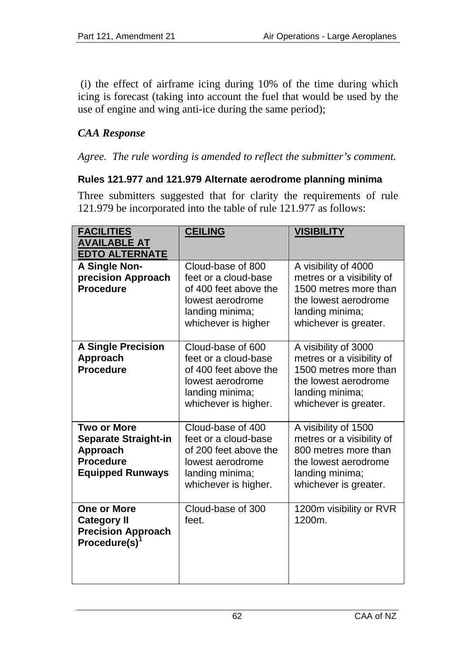(i) the effect of airframe icing during 10% of the time during which icing is forecast (taking into account the fuel that would be used by the use of engine and wing anti-ice during the same period);

# *CAA Response*

*Agree. The rule wording is amended to reflect the submitter's comment.* 

#### **Rules 121.977 and 121.979 Alternate aerodrome planning minima**

Three submitters suggested that for clarity the requirements of rule 121.979 be incorporated into the table of rule 121.977 as follows:

| <b>FACILITIES</b><br><b>AVAILABLE AT</b><br><b>EDTO ALTERNATE</b>                                     | <b>CEILING</b>                                                                                                                    | <b>VISIBILITY</b>                                                                                                                              |
|-------------------------------------------------------------------------------------------------------|-----------------------------------------------------------------------------------------------------------------------------------|------------------------------------------------------------------------------------------------------------------------------------------------|
| A Single Non-<br>precision Approach<br><b>Procedure</b>                                               | Cloud-base of 800<br>feet or a cloud-base<br>of 400 feet above the<br>lowest aerodrome<br>landing minima;<br>whichever is higher  | A visibility of 4000<br>metres or a visibility of<br>1500 metres more than<br>the lowest aerodrome<br>landing minima;<br>whichever is greater. |
| <b>A Single Precision</b><br>Approach<br><b>Procedure</b>                                             | Cloud-base of 600<br>feet or a cloud-base<br>of 400 feet above the<br>lowest aerodrome<br>landing minima;<br>whichever is higher. | A visibility of 3000<br>metres or a visibility of<br>1500 metres more than<br>the lowest aerodrome<br>landing minima;<br>whichever is greater. |
| Two or More<br><b>Separate Straight-in</b><br>Approach<br><b>Procedure</b><br><b>Equipped Runways</b> | Cloud-base of 400<br>feet or a cloud-base<br>of 200 feet above the<br>lowest aerodrome<br>landing minima;<br>whichever is higher. | A visibility of 1500<br>metres or a visibility of<br>800 metres more than<br>the lowest aerodrome<br>landing minima;<br>whichever is greater.  |
| One or More<br><b>Category II</b><br><b>Precision Approach</b><br>Procedure(s)                        | Cloud-base of 300<br>feet.                                                                                                        | 1200m visibility or RVR<br>$1200m$ .                                                                                                           |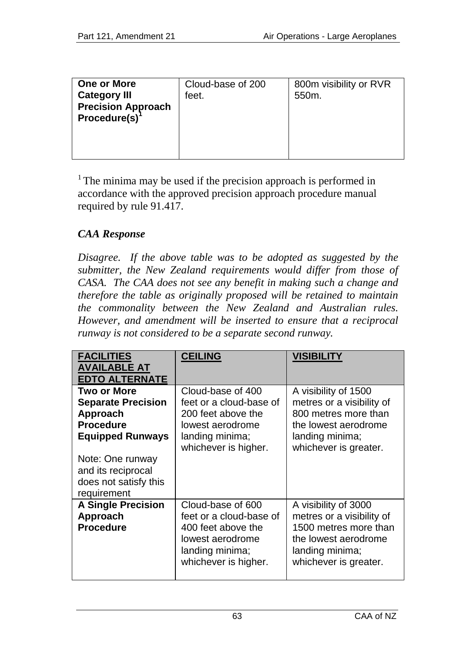| <b>One or More</b><br><b>Category III</b><br><b>Precision Approach</b><br>$Procedure(s)^1$ | Cloud-base of 200<br>feet. | 800m visibility or RVR<br>550m. |
|--------------------------------------------------------------------------------------------|----------------------------|---------------------------------|

 $1$ <sup>1</sup> The minima may be used if the precision approach is performed in accordance with the approved precision approach procedure manual required by rule 91.417.

### *CAA Response*

*Disagree. If the above table was to be adopted as suggested by the submitter, the New Zealand requirements would differ from those of CASA. The CAA does not see any benefit in making such a change and therefore the table as originally proposed will be retained to maintain the commonality between the New Zealand and Australian rules. However, and amendment will be inserted to ensure that a reciprocal runway is not considered to be a separate second runway.* 

| <b>FACILITIES</b><br><b>AVAILABLE AT</b><br><b>EDTO ALTERNATE</b>                                                                                                                     | <b>CEILING</b>                                                                                                                    | <b>VISIBILITY</b>                                                                                                                              |
|---------------------------------------------------------------------------------------------------------------------------------------------------------------------------------------|-----------------------------------------------------------------------------------------------------------------------------------|------------------------------------------------------------------------------------------------------------------------------------------------|
| Two or More<br><b>Separate Precision</b><br>Approach<br><b>Procedure</b><br><b>Equipped Runways</b><br>Note: One runway<br>and its reciprocal<br>does not satisfy this<br>requirement | Cloud-base of 400<br>feet or a cloud-base of<br>200 feet above the<br>lowest aerodrome<br>landing minima;<br>whichever is higher. | A visibility of 1500<br>metres or a visibility of<br>800 metres more than<br>the lowest aerodrome<br>landing minima;<br>whichever is greater.  |
| <b>A Single Precision</b><br>Approach<br><b>Procedure</b>                                                                                                                             | Cloud-base of 600<br>feet or a cloud-base of<br>400 feet above the<br>lowest aerodrome<br>landing minima;<br>whichever is higher. | A visibility of 3000<br>metres or a visibility of<br>1500 metres more than<br>the lowest aerodrome<br>landing minima;<br>whichever is greater. |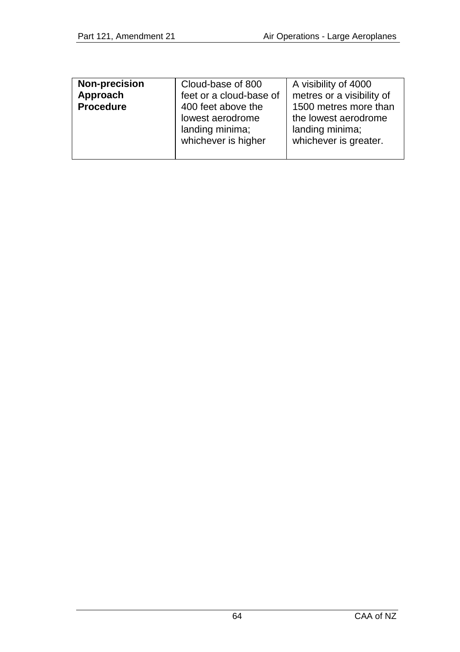|--|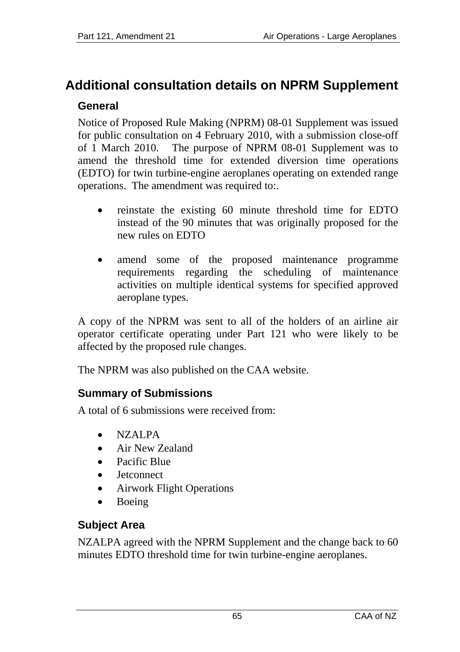# **Additional consultation details on NPRM Supplement General**

Notice of Proposed Rule Making (NPRM) 08-01 Supplement was issued for public consultation on 4 February 2010, with a submission close-off of 1 March 2010. The purpose of NPRM 08-01 Supplement was to amend the threshold time for extended diversion time operations (EDTO) for twin turbine-engine aeroplanes operating on extended range operations. The amendment was required to:.

- reinstate the existing 60 minute threshold time for EDTO instead of the 90 minutes that was originally proposed for the new rules on EDTO
- amend some of the proposed maintenance programme requirements regarding the scheduling of maintenance activities on multiple identical systems for specified approved aeroplane types.

A copy of the NPRM was sent to all of the holders of an airline air operator certificate operating under Part 121 who were likely to be affected by the proposed rule changes.

The NPRM was also published on the CAA website.

# **Summary of Submissions**

A total of 6 submissions were received from:

- NZALPA
- Air New Zealand
- Pacific Blue
- Jetconnect
- Airwork Flight Operations
- Boeing

# **Subject Area**

NZALPA agreed with the NPRM Supplement and the change back to 60 minutes EDTO threshold time for twin turbine-engine aeroplanes.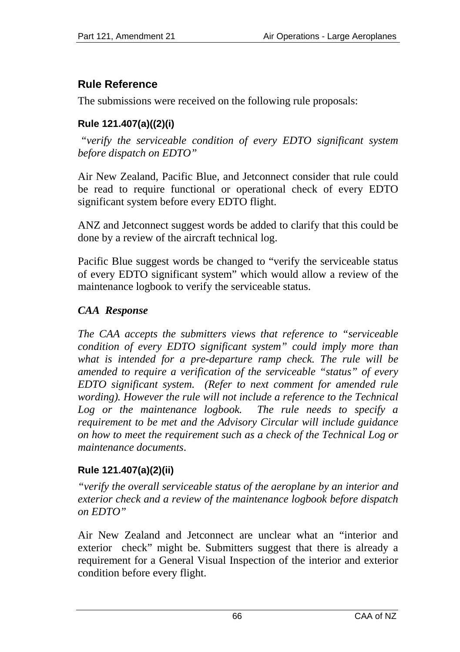# **Rule Reference**

The submissions were received on the following rule proposals:

# **Rule 121.407(a)((2)(i)**

 *"verify the serviceable condition of every EDTO significant system before dispatch on EDTO"*

Air New Zealand, Pacific Blue, and Jetconnect consider that rule could be read to require functional or operational check of every EDTO significant system before every EDTO flight.

ANZ and Jetconnect suggest words be added to clarify that this could be done by a review of the aircraft technical log.

Pacific Blue suggest words be changed to "verify the serviceable status of every EDTO significant system" which would allow a review of the maintenance logbook to verify the serviceable status.

# *CAA Response*

*The CAA accepts the submitters views that reference to "serviceable condition of every EDTO significant system" could imply more than what is intended for a pre-departure ramp check. The rule will be amended to require a verification of the serviceable "status" of every EDTO significant system. (Refer to next comment for amended rule*  wording). However the rule will not include a reference to the Technical *Log or the maintenance logbook. The rule needs to specify a requirement to be met and the Advisory Circular will include guidance on how to meet the requirement such as a check of the Technical Log or maintenance documents*.

# **Rule 121.407(a)(2)(ii)**

*"verify the overall serviceable status of the aeroplane by an interior and exterior check and a review of the maintenance logbook before dispatch on EDTO"* 

Air New Zealand and Jetconnect are unclear what an "interior and exterior check" might be. Submitters suggest that there is already a requirement for a General Visual Inspection of the interior and exterior condition before every flight.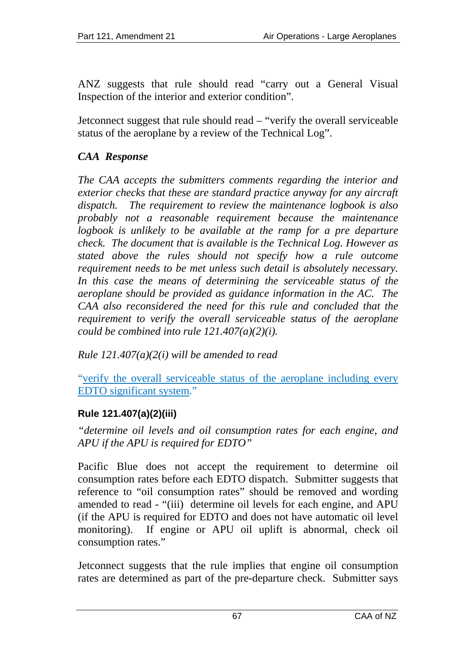ANZ suggests that rule should read "carry out a General Visual Inspection of the interior and exterior condition".

Jetconnect suggest that rule should read – "verify the overall serviceable status of the aeroplane by a review of the Technical Log".

# *CAA Response*

*The CAA accepts the submitters comments regarding the interior and exterior checks that these are standard practice anyway for any aircraft dispatch. The requirement to review the maintenance logbook is also probably not a reasonable requirement because the maintenance logbook is unlikely to be available at the ramp for a pre departure check. The document that is available is the Technical Log. However as stated above the rules should not specify how a rule outcome requirement needs to be met unless such detail is absolutely necessary. In this case the means of determining the serviceable status of the aeroplane should be provided as guidance information in the AC. The CAA also reconsidered the need for this rule and concluded that the requirement to verify the overall serviceable status of the aeroplane could be combined into rule 121.407(a)(2)(i).* 

*Rule 121.407(a)(2(i) will be amended to read* 

"verify the overall serviceable status of the aeroplane including every EDTO significant system."

#### **Rule 121.407(a)(2)(iii)**

*"determine oil levels and oil consumption rates for each engine, and APU if the APU is required for EDTO"* 

Pacific Blue does not accept the requirement to determine oil consumption rates before each EDTO dispatch. Submitter suggests that reference to "oil consumption rates" should be removed and wording amended to read - "(iii) determine oil levels for each engine, and APU (if the APU is required for EDTO and does not have automatic oil level monitoring). If engine or APU oil uplift is abnormal, check oil consumption rates."

Jetconnect suggests that the rule implies that engine oil consumption rates are determined as part of the pre-departure check. Submitter says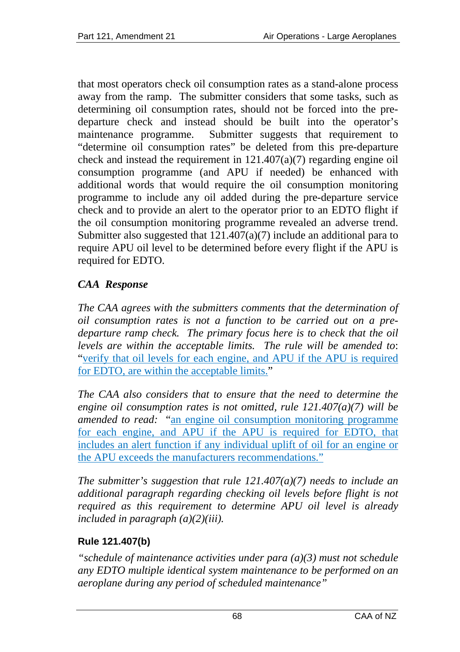that most operators check oil consumption rates as a stand-alone process away from the ramp. The submitter considers that some tasks, such as determining oil consumption rates, should not be forced into the predeparture check and instead should be built into the operator's maintenance programme. Submitter suggests that requirement to "determine oil consumption rates" be deleted from this pre-departure check and instead the requirement in  $121.407(a)(7)$  regarding engine oil consumption programme (and APU if needed) be enhanced with additional words that would require the oil consumption monitoring programme to include any oil added during the pre-departure service check and to provide an alert to the operator prior to an EDTO flight if the oil consumption monitoring programme revealed an adverse trend. Submitter also suggested that 121.407(a)(7) include an additional para to require APU oil level to be determined before every flight if the APU is required for EDTO.

# *CAA Response*

*The CAA agrees with the submitters comments that the determination of oil consumption rates is not a function to be carried out on a predeparture ramp check. The primary focus here is to check that the oil levels are within the acceptable limits. The rule will be amended to*: "verify that oil levels for each engine, and APU if the APU is required for EDTO, are within the acceptable limits."

*The CAA also considers that to ensure that the need to determine the engine oil consumption rates is not omitted, rule 121.407(a)(7) will be amended to read:* "an engine oil consumption monitoring programme for each engine, and APU if the APU is required for EDTO, that includes an alert function if any individual uplift of oil for an engine or the APU exceeds the manufacturers recommendations."

*The submitter's suggestion that rule 121.407(a)(7) needs to include an additional paragraph regarding checking oil levels before flight is not required as this requirement to determine APU oil level is already included in paragraph (a)(2)(iii).* 

#### **Rule 121.407(b)**

*"schedule of maintenance activities under para (a)(3) must not schedule any EDTO multiple identical system maintenance to be performed on an aeroplane during any period of scheduled maintenance"*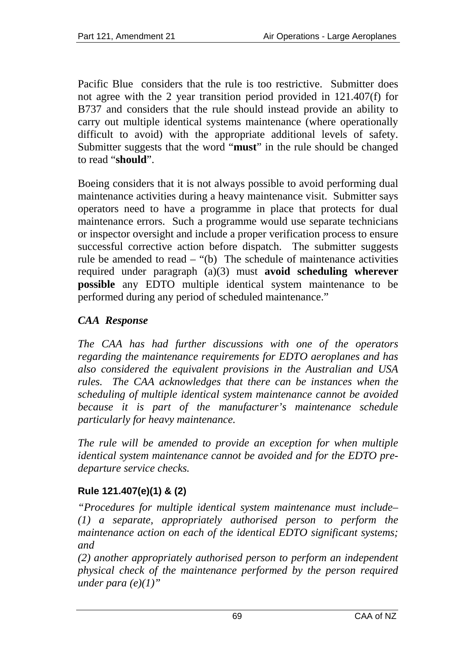Pacific Blue considers that the rule is too restrictive. Submitter does not agree with the 2 year transition period provided in 121.407(f) for B737 and considers that the rule should instead provide an ability to carry out multiple identical systems maintenance (where operationally difficult to avoid) with the appropriate additional levels of safety. Submitter suggests that the word "**must**" in the rule should be changed to read "**should**".

Boeing considers that it is not always possible to avoid performing dual maintenance activities during a heavy maintenance visit. Submitter says operators need to have a programme in place that protects for dual maintenance errors. Such a programme would use separate technicians or inspector oversight and include a proper verification process to ensure successful corrective action before dispatch. The submitter suggests rule be amended to read – "(b) The schedule of maintenance activities required under paragraph (a)(3) must **avoid scheduling wherever possible** any EDTO multiple identical system maintenance to be performed during any period of scheduled maintenance."

# *CAA Response*

*The CAA has had further discussions with one of the operators regarding the maintenance requirements for EDTO aeroplanes and has also considered the equivalent provisions in the Australian and USA*  rules. The CAA acknowledges that there can be instances when the *scheduling of multiple identical system maintenance cannot be avoided because it is part of the manufacturer's maintenance schedule particularly for heavy maintenance.* 

*The rule will be amended to provide an exception for when multiple identical system maintenance cannot be avoided and for the EDTO predeparture service checks.* 

# **Rule 121.407(e)(1) & (2)**

*"Procedures for multiple identical system maintenance must include– (1) a separate, appropriately authorised person to perform the maintenance action on each of the identical EDTO significant systems; and* 

*(2) another appropriately authorised person to perform an independent physical check of the maintenance performed by the person required under para (e)(1)"*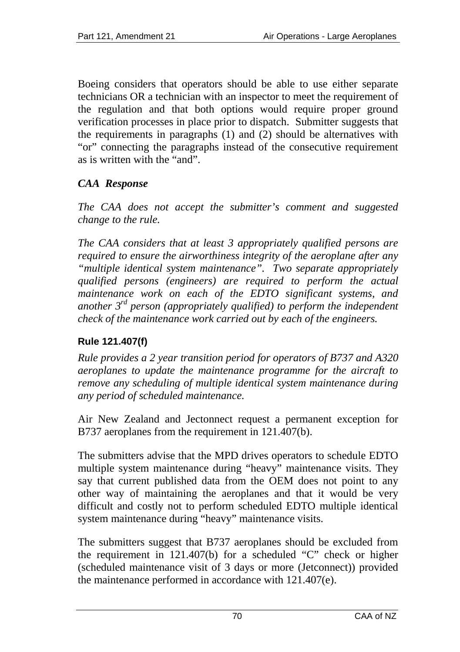Boeing considers that operators should be able to use either separate technicians OR a technician with an inspector to meet the requirement of the regulation and that both options would require proper ground verification processes in place prior to dispatch. Submitter suggests that the requirements in paragraphs (1) and (2) should be alternatives with "or" connecting the paragraphs instead of the consecutive requirement as is written with the "and".

# *CAA Response*

*The CAA does not accept the submitter's comment and suggested change to the rule.* 

*The CAA considers that at least 3 appropriately qualified persons are required to ensure the airworthiness integrity of the aeroplane after any "multiple identical system maintenance". Two separate appropriately qualified persons (engineers) are required to perform the actual maintenance work on each of the EDTO significant systems, and another 3rd person (appropriately qualified) to perform the independent check of the maintenance work carried out by each of the engineers.* 

# **Rule 121.407(f)**

*Rule provides a 2 year transition period for operators of B737 and A320 aeroplanes to update the maintenance programme for the aircraft to remove any scheduling of multiple identical system maintenance during any period of scheduled maintenance.* 

Air New Zealand and Jectonnect request a permanent exception for B737 aeroplanes from the requirement in 121.407(b).

The submitters advise that the MPD drives operators to schedule EDTO multiple system maintenance during "heavy" maintenance visits. They say that current published data from the OEM does not point to any other way of maintaining the aeroplanes and that it would be very difficult and costly not to perform scheduled EDTO multiple identical system maintenance during "heavy" maintenance visits.

The submitters suggest that B737 aeroplanes should be excluded from the requirement in 121.407(b) for a scheduled "C" check or higher (scheduled maintenance visit of 3 days or more (Jetconnect)) provided the maintenance performed in accordance with 121.407(e).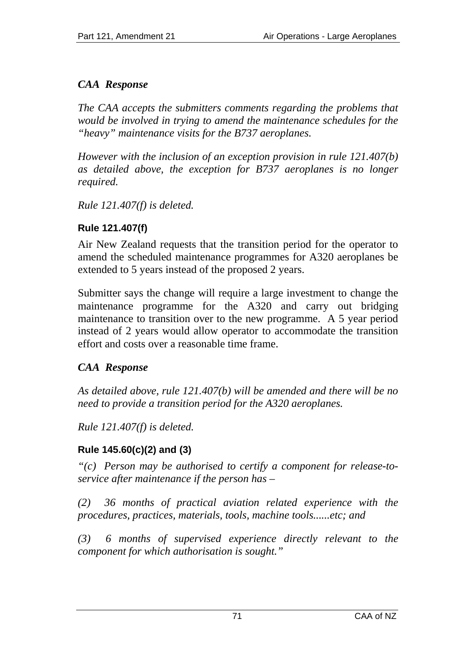# *CAA Response*

*The CAA accepts the submitters comments regarding the problems that would be involved in trying to amend the maintenance schedules for the "heavy" maintenance visits for the B737 aeroplanes.* 

*However with the inclusion of an exception provision in rule 121.407(b) as detailed above, the exception for B737 aeroplanes is no longer required.* 

*Rule 121.407(f) is deleted.* 

# **Rule 121.407(f)**

Air New Zealand requests that the transition period for the operator to amend the scheduled maintenance programmes for A320 aeroplanes be extended to 5 years instead of the proposed 2 years.

Submitter says the change will require a large investment to change the maintenance programme for the A320 and carry out bridging maintenance to transition over to the new programme. A 5 year period instead of 2 years would allow operator to accommodate the transition effort and costs over a reasonable time frame.

# *CAA Response*

*As detailed above, rule 121.407(b) will be amended and there will be no need to provide a transition period for the A320 aeroplanes.* 

*Rule 121.407(f) is deleted.*

# **Rule 145.60(c)(2) and (3)**

*"(c) Person may be authorised to certify a component for release-toservice after maintenance if the person has –* 

*(2) 36 months of practical aviation related experience with the procedures, practices, materials, tools, machine tools......etc; and* 

*(3) 6 months of supervised experience directly relevant to the component for which authorisation is sought."*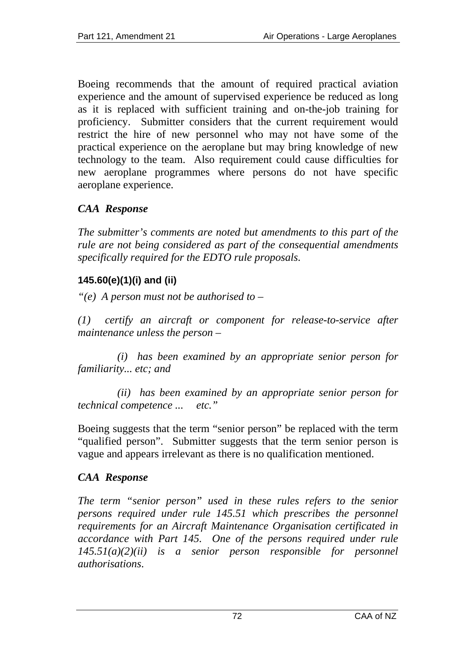Boeing recommends that the amount of required practical aviation experience and the amount of supervised experience be reduced as long as it is replaced with sufficient training and on-the-job training for proficiency. Submitter considers that the current requirement would restrict the hire of new personnel who may not have some of the practical experience on the aeroplane but may bring knowledge of new technology to the team. Also requirement could cause difficulties for new aeroplane programmes where persons do not have specific aeroplane experience.

### *CAA Response*

*The submitter's comments are noted but amendments to this part of the rule are not being considered as part of the consequential amendments specifically required for the EDTO rule proposals*.

#### **145.60(e)(1)(i) and (ii)**

*"(e) A person must not be authorised to –* 

*(1) certify an aircraft or component for release-to-service after maintenance unless the person –* 

 *(i) has been examined by an appropriate senior person for familiarity... etc; and* 

 *(ii) has been examined by an appropriate senior person for technical competence ... etc."*

Boeing suggests that the term "senior person" be replaced with the term "qualified person". Submitter suggests that the term senior person is vague and appears irrelevant as there is no qualification mentioned.

#### *CAA Response*

*The term "senior person" used in these rules refers to the senior persons required under rule 145.51 which prescribes the personnel requirements for an Aircraft Maintenance Organisation certificated in accordance with Part 145. One of the persons required under rule 145.51(a)(2)(ii) is a senior person responsible for personnel authorisations*.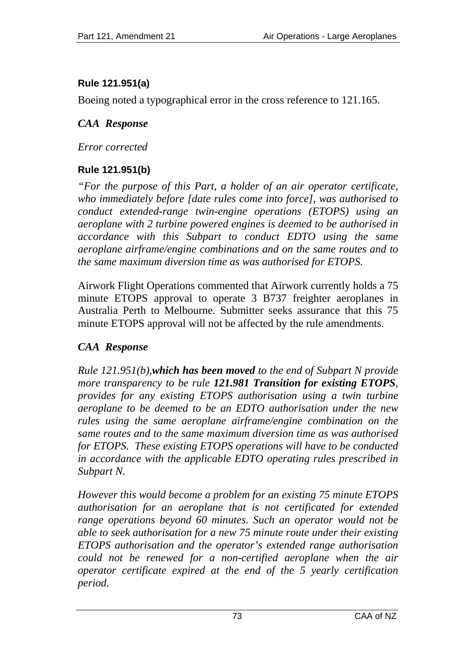## **Rule 121.951(a)**

Boeing noted a typographical error in the cross reference to 121.165.

## *CAA Response*

*Error corrected* 

## **Rule 121.951(b)**

*"For the purpose of this Part, a holder of an air operator certificate, who immediately before [date rules come into force], was authorised to conduct extended-range twin-engine operations (ETOPS) using an aeroplane with 2 turbine powered engines is deemed to be authorised in accordance with this Subpart to conduct EDTO using the same aeroplane airframe/engine combinations and on the same routes and to the same maximum diversion time as was authorised for ETOPS.* 

Airwork Flight Operations commented that Airwork currently holds a 75 minute ETOPS approval to operate 3 B737 freighter aeroplanes in Australia Perth to Melbourne. Submitter seeks assurance that this 75 minute ETOPS approval will not be affected by the rule amendments.

## *CAA Response*

*Rule 121.951(b),which has been moved to the end of Subpart N provide more transparency to be rule 121.981 Transition for existing ETOPS, provides for any existing ETOPS authorisation using a twin turbine aeroplane to be deemed to be an EDTO authorisation under the new rules using the same aeroplane airframe/engine combination on the same routes and to the same maximum diversion time as was authorised for ETOPS. These existing ETOPS operations will have to be conducted in accordance with the applicable EDTO operating rules prescribed in Subpart N.* 

*However this would become a problem for an existing 75 minute ETOPS authorisation for an aeroplane that is not certificated for extended range operations beyond 60 minutes. Such an operator would not be able to seek authorisation for a new 75 minute route under their existing ETOPS authorisation and the operator's extended range authorisation could not be renewed for a non-certified aeroplane when the air operator certificate expired at the end of the 5 yearly certification period.*